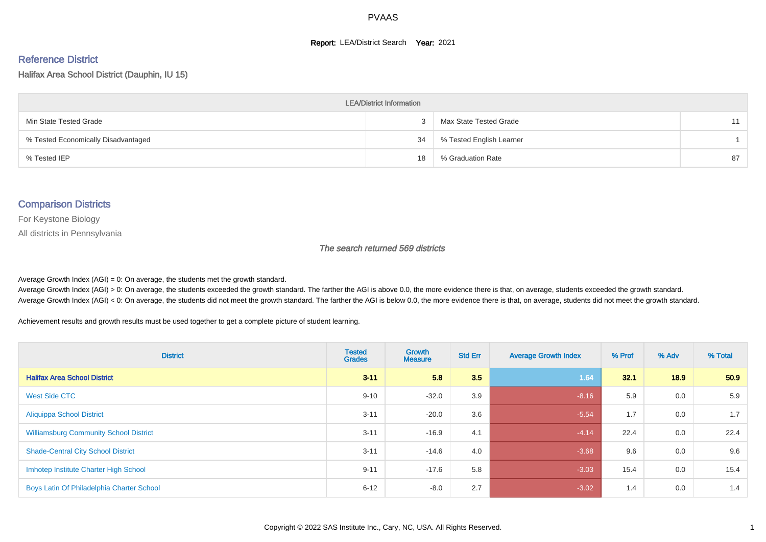#### **Report: LEA/District Search Year: 2021**

# Reference District

Halifax Area School District (Dauphin, IU 15)

| <b>LEA/District Information</b>     |    |                          |    |  |  |  |  |  |  |  |
|-------------------------------------|----|--------------------------|----|--|--|--|--|--|--|--|
| Min State Tested Grade              |    | Max State Tested Grade   | 11 |  |  |  |  |  |  |  |
| % Tested Economically Disadvantaged | 34 | % Tested English Learner |    |  |  |  |  |  |  |  |
| % Tested IEP                        | 18 | % Graduation Rate        | 87 |  |  |  |  |  |  |  |

#### Comparison Districts

For Keystone Biology

All districts in Pennsylvania

The search returned 569 districts

Average Growth Index  $(AGI) = 0$ : On average, the students met the growth standard.

Average Growth Index (AGI) > 0: On average, the students exceeded the growth standard. The farther the AGI is above 0.0, the more evidence there is that, on average, students exceeded the growth standard. Average Growth Index (AGI) < 0: On average, the students did not meet the growth standard. The farther the AGI is below 0.0, the more evidence there is that, on average, students did not meet the growth standard.

Achievement results and growth results must be used together to get a complete picture of student learning.

| <b>District</b>                               | <b>Tested</b><br><b>Grades</b> | Growth<br><b>Measure</b> | <b>Std Err</b> | <b>Average Growth Index</b> | % Prof | % Adv | % Total |
|-----------------------------------------------|--------------------------------|--------------------------|----------------|-----------------------------|--------|-------|---------|
| <b>Halifax Area School District</b>           | $3 - 11$                       | 5.8                      | 3.5            | 1.64                        | 32.1   | 18.9  | 50.9    |
| <b>West Side CTC</b>                          | $9 - 10$                       | $-32.0$                  | 3.9            | $-8.16$                     | 5.9    | 0.0   | 5.9     |
| <b>Aliquippa School District</b>              | $3 - 11$                       | $-20.0$                  | 3.6            | $-5.54$                     | 1.7    | 0.0   | 1.7     |
| <b>Williamsburg Community School District</b> | $3 - 11$                       | $-16.9$                  | 4.1            | $-4.14$                     | 22.4   | 0.0   | 22.4    |
| <b>Shade-Central City School District</b>     | $3 - 11$                       | $-14.6$                  | 4.0            | $-3.68$                     | 9.6    | 0.0   | 9.6     |
| Imhotep Institute Charter High School         | $9 - 11$                       | $-17.6$                  | 5.8            | $-3.03$                     | 15.4   | 0.0   | 15.4    |
| Boys Latin Of Philadelphia Charter School     | $6 - 12$                       | $-8.0$                   | 2.7            | $-3.02$                     | 1.4    | 0.0   | 1.4     |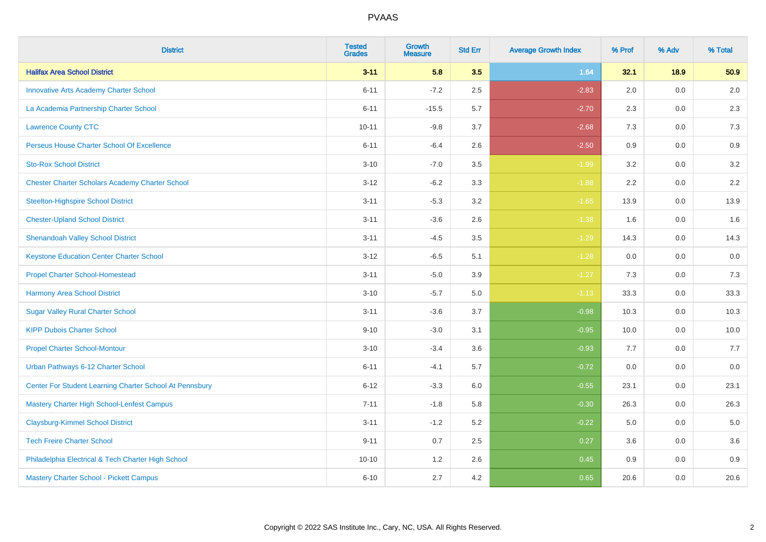| <b>District</b>                                         | <b>Tested</b><br><b>Grades</b> | <b>Growth</b><br><b>Measure</b> | <b>Std Err</b> | <b>Average Growth Index</b> | % Prof | % Adv   | % Total |
|---------------------------------------------------------|--------------------------------|---------------------------------|----------------|-----------------------------|--------|---------|---------|
| <b>Halifax Area School District</b>                     | $3 - 11$                       | 5.8                             | 3.5            | 1.64                        | 32.1   | 18.9    | 50.9    |
| <b>Innovative Arts Academy Charter School</b>           | $6 - 11$                       | $-7.2$                          | 2.5            | $-2.83$                     | 2.0    | 0.0     | $2.0\,$ |
| La Academia Partnership Charter School                  | $6 - 11$                       | $-15.5$                         | 5.7            | $-2.70$                     | 2.3    | 0.0     | 2.3     |
| <b>Lawrence County CTC</b>                              | $10 - 11$                      | $-9.8$                          | 3.7            | $-2.68$                     | 7.3    | 0.0     | 7.3     |
| Perseus House Charter School Of Excellence              | $6 - 11$                       | $-6.4$                          | 2.6            | $-2.50$                     | 0.9    | 0.0     | 0.9     |
| <b>Sto-Rox School District</b>                          | $3 - 10$                       | $-7.0$                          | 3.5            | $-1.99$                     | 3.2    | 0.0     | 3.2     |
| <b>Chester Charter Scholars Academy Charter School</b>  | $3 - 12$                       | $-6.2$                          | 3.3            | $-1.88$                     | 2.2    | $0.0\,$ | 2.2     |
| <b>Steelton-Highspire School District</b>               | $3 - 11$                       | $-5.3$                          | 3.2            | $-1.65$                     | 13.9   | 0.0     | 13.9    |
| <b>Chester-Upland School District</b>                   | $3 - 11$                       | $-3.6$                          | 2.6            | $-1.38$                     | 1.6    | 0.0     | 1.6     |
| <b>Shenandoah Valley School District</b>                | $3 - 11$                       | $-4.5$                          | 3.5            | $-1.29$                     | 14.3   | 0.0     | 14.3    |
| <b>Keystone Education Center Charter School</b>         | $3 - 12$                       | $-6.5$                          | 5.1            | $-1.28$                     | 0.0    | 0.0     | 0.0     |
| <b>Propel Charter School-Homestead</b>                  | $3 - 11$                       | $-5.0$                          | 3.9            | $-1.27$                     | 7.3    | 0.0     | 7.3     |
| <b>Harmony Area School District</b>                     | $3 - 10$                       | $-5.7$                          | 5.0            | $-1.13$                     | 33.3   | 0.0     | 33.3    |
| <b>Sugar Valley Rural Charter School</b>                | $3 - 11$                       | $-3.6$                          | 3.7            | $-0.98$                     | 10.3   | 0.0     | 10.3    |
| <b>KIPP Dubois Charter School</b>                       | $9 - 10$                       | $-3.0$                          | 3.1            | $-0.95$                     | 10.0   | 0.0     | 10.0    |
| <b>Propel Charter School-Montour</b>                    | $3 - 10$                       | $-3.4$                          | 3.6            | $-0.93$                     | 7.7    | $0.0\,$ | 7.7     |
| Urban Pathways 6-12 Charter School                      | $6 - 11$                       | $-4.1$                          | 5.7            | $-0.72$                     | 0.0    | 0.0     | $0.0\,$ |
| Center For Student Learning Charter School At Pennsbury | $6 - 12$                       | $-3.3$                          | 6.0            | $-0.55$                     | 23.1   | 0.0     | 23.1    |
| Mastery Charter High School-Lenfest Campus              | $7 - 11$                       | $-1.8$                          | 5.8            | $-0.30$                     | 26.3   | 0.0     | 26.3    |
| <b>Claysburg-Kimmel School District</b>                 | $3 - 11$                       | $-1.2$                          | 5.2            | $-0.22$                     | 5.0    | 0.0     | 5.0     |
| <b>Tech Freire Charter School</b>                       | $9 - 11$                       | 0.7                             | 2.5            | 0.27                        | 3.6    | 0.0     | 3.6     |
| Philadelphia Electrical & Tech Charter High School      | $10 - 10$                      | 1.2                             | 2.6            | 0.45                        | 0.9    | 0.0     | 0.9     |
| Mastery Charter School - Pickett Campus                 | $6 - 10$                       | 2.7                             | 4.2            | 0.65                        | 20.6   | 0.0     | 20.6    |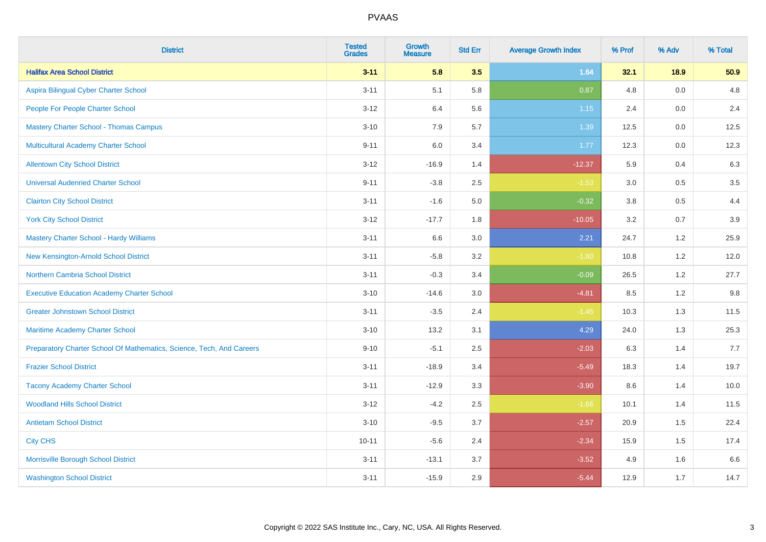| <b>District</b>                                                       | <b>Tested</b><br><b>Grades</b> | <b>Growth</b><br><b>Measure</b> | <b>Std Err</b> | <b>Average Growth Index</b> | % Prof | % Adv   | % Total |
|-----------------------------------------------------------------------|--------------------------------|---------------------------------|----------------|-----------------------------|--------|---------|---------|
| <b>Halifax Area School District</b>                                   | $3 - 11$                       | 5.8                             | 3.5            | 1.64                        | 32.1   | 18.9    | 50.9    |
| Aspira Bilingual Cyber Charter School                                 | $3 - 11$                       | 5.1                             | 5.8            | 0.87                        | 4.8    | 0.0     | 4.8     |
| People For People Charter School                                      | $3 - 12$                       | 6.4                             | 5.6            | 1.15                        | 2.4    | 0.0     | 2.4     |
| <b>Mastery Charter School - Thomas Campus</b>                         | $3 - 10$                       | 7.9                             | 5.7            | 1.39                        | 12.5   | $0.0\,$ | 12.5    |
| Multicultural Academy Charter School                                  | $9 - 11$                       | 6.0                             | 3.4            | 1.77                        | 12.3   | 0.0     | 12.3    |
| <b>Allentown City School District</b>                                 | $3 - 12$                       | $-16.9$                         | 1.4            | $-12.37$                    | 5.9    | 0.4     | 6.3     |
| <b>Universal Audenried Charter School</b>                             | $9 - 11$                       | $-3.8$                          | 2.5            | $-1.53$                     | 3.0    | 0.5     | 3.5     |
| <b>Clairton City School District</b>                                  | $3 - 11$                       | $-1.6$                          | 5.0            | $-0.32$                     | 3.8    | 0.5     | 4.4     |
| <b>York City School District</b>                                      | $3 - 12$                       | $-17.7$                         | 1.8            | $-10.05$                    | 3.2    | 0.7     | 3.9     |
| <b>Mastery Charter School - Hardy Williams</b>                        | $3 - 11$                       | 6.6                             | 3.0            | 2.21                        | 24.7   | 1.2     | 25.9    |
| New Kensington-Arnold School District                                 | $3 - 11$                       | $-5.8$                          | 3.2            | $-1.80$                     | 10.8   | 1.2     | 12.0    |
| <b>Northern Cambria School District</b>                               | $3 - 11$                       | $-0.3$                          | 3.4            | $-0.09$                     | 26.5   | 1.2     | 27.7    |
| <b>Executive Education Academy Charter School</b>                     | $3 - 10$                       | $-14.6$                         | 3.0            | $-4.81$                     | 8.5    | 1.2     | 9.8     |
| <b>Greater Johnstown School District</b>                              | $3 - 11$                       | $-3.5$                          | 2.4            | $-1.45$                     | 10.3   | 1.3     | 11.5    |
| Maritime Academy Charter School                                       | $3 - 10$                       | 13.2                            | 3.1            | 4.29                        | 24.0   | 1.3     | 25.3    |
| Preparatory Charter School Of Mathematics, Science, Tech, And Careers | $9 - 10$                       | $-5.1$                          | 2.5            | $-2.03$                     | 6.3    | 1.4     | 7.7     |
| <b>Frazier School District</b>                                        | $3 - 11$                       | $-18.9$                         | 3.4            | $-5.49$                     | 18.3   | 1.4     | 19.7    |
| <b>Tacony Academy Charter School</b>                                  | $3 - 11$                       | $-12.9$                         | 3.3            | $-3.90$                     | 8.6    | 1.4     | 10.0    |
| <b>Woodland Hills School District</b>                                 | $3 - 12$                       | $-4.2$                          | 2.5            | $-1.66$                     | 10.1   | 1.4     | 11.5    |
| <b>Antietam School District</b>                                       | $3 - 10$                       | $-9.5$                          | 3.7            | $-2.57$                     | 20.9   | 1.5     | 22.4    |
| <b>City CHS</b>                                                       | $10 - 11$                      | $-5.6$                          | 2.4            | $-2.34$                     | 15.9   | 1.5     | 17.4    |
| Morrisville Borough School District                                   | $3 - 11$                       | $-13.1$                         | 3.7            | $-3.52$                     | 4.9    | 1.6     | 6.6     |
| <b>Washington School District</b>                                     | $3 - 11$                       | $-15.9$                         | 2.9            | $-5.44$                     | 12.9   | 1.7     | 14.7    |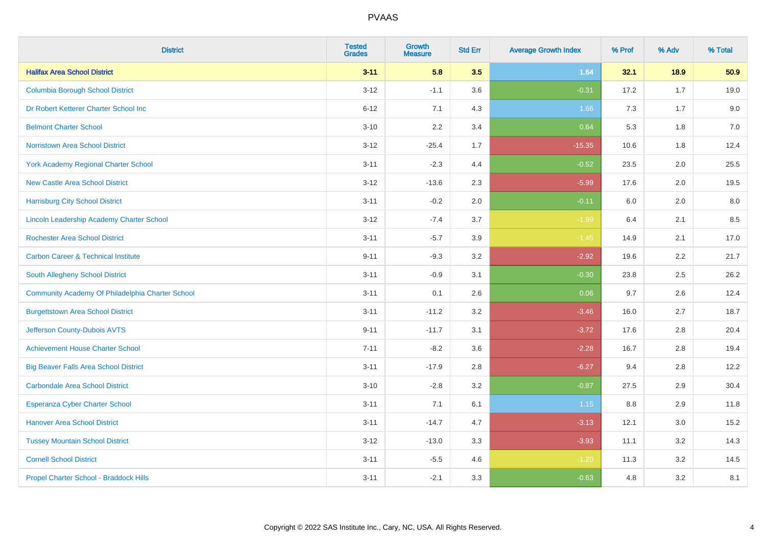| <b>District</b>                                  | <b>Tested</b><br><b>Grades</b> | <b>Growth</b><br><b>Measure</b> | <b>Std Err</b> | <b>Average Growth Index</b> | % Prof | % Adv | % Total |
|--------------------------------------------------|--------------------------------|---------------------------------|----------------|-----------------------------|--------|-------|---------|
| <b>Halifax Area School District</b>              | $3 - 11$                       | 5.8                             | 3.5            | 1.64                        | 32.1   | 18.9  | 50.9    |
| <b>Columbia Borough School District</b>          | $3 - 12$                       | $-1.1$                          | 3.6            | $-0.31$                     | 17.2   | 1.7   | 19.0    |
| Dr Robert Ketterer Charter School Inc            | $6 - 12$                       | 7.1                             | 4.3            | 1.66                        | 7.3    | 1.7   | 9.0     |
| <b>Belmont Charter School</b>                    | $3 - 10$                       | 2.2                             | 3.4            | 0.64                        | 5.3    | 1.8   | $7.0\,$ |
| <b>Norristown Area School District</b>           | $3 - 12$                       | $-25.4$                         | 1.7            | $-15.35$                    | 10.6   | 1.8   | 12.4    |
| <b>York Academy Regional Charter School</b>      | $3 - 11$                       | $-2.3$                          | 4.4            | $-0.52$                     | 23.5   | 2.0   | 25.5    |
| <b>New Castle Area School District</b>           | $3 - 12$                       | $-13.6$                         | 2.3            | $-5.99$                     | 17.6   | 2.0   | 19.5    |
| <b>Harrisburg City School District</b>           | $3 - 11$                       | $-0.2$                          | 2.0            | $-0.11$                     | 6.0    | 2.0   | 8.0     |
| <b>Lincoln Leadership Academy Charter School</b> | $3 - 12$                       | $-7.4$                          | 3.7            | $-1.99$                     | 6.4    | 2.1   | 8.5     |
| <b>Rochester Area School District</b>            | $3 - 11$                       | $-5.7$                          | 3.9            | $-1.45$                     | 14.9   | 2.1   | 17.0    |
| <b>Carbon Career &amp; Technical Institute</b>   | $9 - 11$                       | $-9.3$                          | 3.2            | $-2.92$                     | 19.6   | 2.2   | 21.7    |
| South Allegheny School District                  | $3 - 11$                       | $-0.9$                          | 3.1            | $-0.30$                     | 23.8   | 2.5   | 26.2    |
| Community Academy Of Philadelphia Charter School | $3 - 11$                       | 0.1                             | 2.6            | 0.06                        | 9.7    | 2.6   | 12.4    |
| <b>Burgettstown Area School District</b>         | $3 - 11$                       | $-11.2$                         | 3.2            | $-3.46$                     | 16.0   | 2.7   | 18.7    |
| Jefferson County-Dubois AVTS                     | $9 - 11$                       | $-11.7$                         | 3.1            | $-3.72$                     | 17.6   | 2.8   | 20.4    |
| <b>Achievement House Charter School</b>          | $7 - 11$                       | $-8.2$                          | 3.6            | $-2.28$                     | 16.7   | 2.8   | 19.4    |
| <b>Big Beaver Falls Area School District</b>     | $3 - 11$                       | $-17.9$                         | 2.8            | $-6.27$                     | 9.4    | 2.8   | 12.2    |
| <b>Carbondale Area School District</b>           | $3 - 10$                       | $-2.8$                          | 3.2            | $-0.87$                     | 27.5   | 2.9   | 30.4    |
| <b>Esperanza Cyber Charter School</b>            | $3 - 11$                       | 7.1                             | 6.1            | 1.15                        | 8.8    | 2.9   | 11.8    |
| <b>Hanover Area School District</b>              | $3 - 11$                       | $-14.7$                         | 4.7            | $-3.13$                     | 12.1   | 3.0   | 15.2    |
| <b>Tussey Mountain School District</b>           | $3 - 12$                       | $-13.0$                         | 3.3            | $-3.93$                     | 11.1   | 3.2   | 14.3    |
| <b>Cornell School District</b>                   | $3 - 11$                       | $-5.5$                          | 4.6            | $-1.20$                     | 11.3   | 3.2   | 14.5    |
| Propel Charter School - Braddock Hills           | $3 - 11$                       | $-2.1$                          | 3.3            | $-0.63$                     | 4.8    | 3.2   | 8.1     |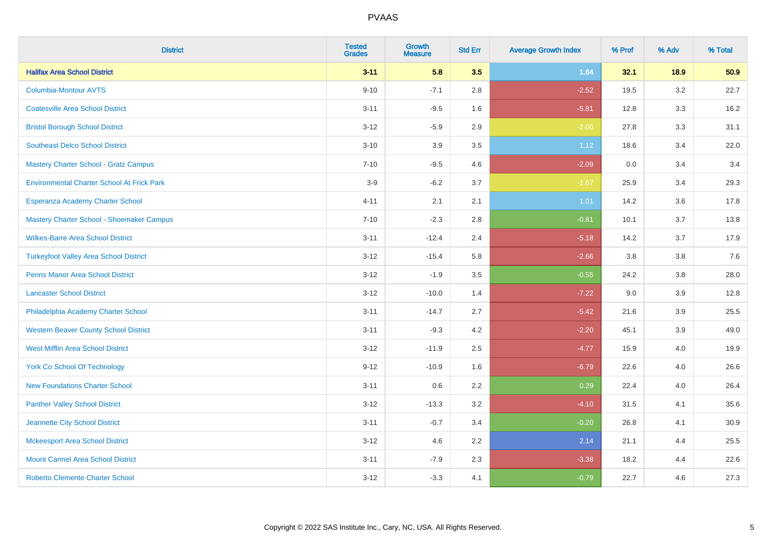| <b>District</b>                                   | <b>Tested</b><br><b>Grades</b> | <b>Growth</b><br><b>Measure</b> | <b>Std Err</b> | <b>Average Growth Index</b> | % Prof | % Adv   | % Total |
|---------------------------------------------------|--------------------------------|---------------------------------|----------------|-----------------------------|--------|---------|---------|
| <b>Halifax Area School District</b>               | $3 - 11$                       | 5.8                             | 3.5            | 1.64                        | 32.1   | 18.9    | 50.9    |
| <b>Columbia-Montour AVTS</b>                      | $9 - 10$                       | $-7.1$                          | 2.8            | $-2.52$                     | 19.5   | $3.2\,$ | 22.7    |
| <b>Coatesville Area School District</b>           | $3 - 11$                       | $-9.5$                          | 1.6            | $-5.81$                     | 12.8   | 3.3     | 16.2    |
| <b>Bristol Borough School District</b>            | $3 - 12$                       | $-5.9$                          | 2.9            | $-2.00$                     | 27.8   | 3.3     | 31.1    |
| <b>Southeast Delco School District</b>            | $3 - 10$                       | 3.9                             | 3.5            | 1.12                        | 18.6   | 3.4     | 22.0    |
| Mastery Charter School - Gratz Campus             | $7 - 10$                       | $-9.5$                          | 4.6            | $-2.09$                     | 0.0    | 3.4     | 3.4     |
| <b>Environmental Charter School At Frick Park</b> | $3-9$                          | $-6.2$                          | 3.7            | $-1.67$                     | 25.9   | 3.4     | 29.3    |
| Esperanza Academy Charter School                  | $4 - 11$                       | 2.1                             | 2.1            | 1.01                        | 14.2   | 3.6     | 17.8    |
| Mastery Charter School - Shoemaker Campus         | $7 - 10$                       | $-2.3$                          | 2.8            | $-0.81$                     | 10.1   | 3.7     | 13.8    |
| <b>Wilkes-Barre Area School District</b>          | $3 - 11$                       | $-12.4$                         | 2.4            | $-5.18$                     | 14.2   | 3.7     | 17.9    |
| <b>Turkeyfoot Valley Area School District</b>     | $3 - 12$                       | $-15.4$                         | 5.8            | $-2.66$                     | 3.8    | 3.8     | 7.6     |
| <b>Penns Manor Area School District</b>           | $3 - 12$                       | $-1.9$                          | 3.5            | $-0.55$                     | 24.2   | 3.8     | 28.0    |
| <b>Lancaster School District</b>                  | $3 - 12$                       | $-10.0$                         | 1.4            | $-7.22$                     | 9.0    | 3.9     | 12.8    |
| Philadelphia Academy Charter School               | $3 - 11$                       | $-14.7$                         | 2.7            | $-5.42$                     | 21.6   | 3.9     | 25.5    |
| <b>Western Beaver County School District</b>      | $3 - 11$                       | $-9.3$                          | 4.2            | $-2.20$                     | 45.1   | 3.9     | 49.0    |
| <b>West Mifflin Area School District</b>          | $3 - 12$                       | $-11.9$                         | 2.5            | $-4.77$                     | 15.9   | 4.0     | 19.9    |
| <b>York Co School Of Technology</b>               | $9 - 12$                       | $-10.9$                         | 1.6            | $-6.79$                     | 22.6   | 4.0     | 26.6    |
| <b>New Foundations Charter School</b>             | $3 - 11$                       | 0.6                             | 2.2            | 0.29                        | 22.4   | 4.0     | 26.4    |
| <b>Panther Valley School District</b>             | $3 - 12$                       | $-13.3$                         | 3.2            | $-4.10$                     | 31.5   | 4.1     | 35.6    |
| Jeannette City School District                    | $3 - 11$                       | $-0.7$                          | 3.4            | $-0.20$                     | 26.8   | 4.1     | 30.9    |
| <b>Mckeesport Area School District</b>            | $3 - 12$                       | 4.6                             | 2.2            | 2.14                        | 21.1   | 4.4     | 25.5    |
| <b>Mount Carmel Area School District</b>          | $3 - 11$                       | $-7.9$                          | 2.3            | $-3.38$                     | 18.2   | 4.4     | 22.6    |
| <b>Roberto Clemente Charter School</b>            | $3 - 12$                       | $-3.3$                          | 4.1            | $-0.79$                     | 22.7   | 4.6     | 27.3    |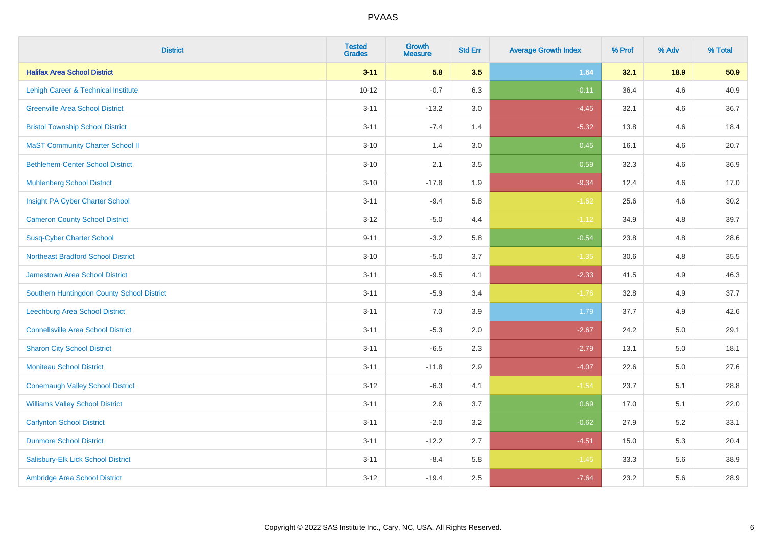| <b>District</b>                            | <b>Tested</b><br><b>Grades</b> | <b>Growth</b><br><b>Measure</b> | <b>Std Err</b> | <b>Average Growth Index</b> | % Prof | % Adv   | % Total |
|--------------------------------------------|--------------------------------|---------------------------------|----------------|-----------------------------|--------|---------|---------|
| <b>Halifax Area School District</b>        | $3 - 11$                       | 5.8                             | 3.5            | 1.64                        | 32.1   | 18.9    | 50.9    |
| Lehigh Career & Technical Institute        | $10 - 12$                      | $-0.7$                          | 6.3            | $-0.11$                     | 36.4   | 4.6     | 40.9    |
| <b>Greenville Area School District</b>     | $3 - 11$                       | $-13.2$                         | 3.0            | $-4.45$                     | 32.1   | 4.6     | 36.7    |
| <b>Bristol Township School District</b>    | $3 - 11$                       | $-7.4$                          | 1.4            | $-5.32$                     | 13.8   | 4.6     | 18.4    |
| <b>MaST Community Charter School II</b>    | $3 - 10$                       | 1.4                             | 3.0            | 0.45                        | 16.1   | 4.6     | 20.7    |
| <b>Bethlehem-Center School District</b>    | $3 - 10$                       | 2.1                             | 3.5            | 0.59                        | 32.3   | 4.6     | 36.9    |
| <b>Muhlenberg School District</b>          | $3 - 10$                       | $-17.8$                         | 1.9            | $-9.34$                     | 12.4   | 4.6     | 17.0    |
| Insight PA Cyber Charter School            | $3 - 11$                       | $-9.4$                          | 5.8            | $-1.62$                     | 25.6   | 4.6     | 30.2    |
| <b>Cameron County School District</b>      | $3 - 12$                       | $-5.0$                          | 4.4            | $-1.12$                     | 34.9   | 4.8     | 39.7    |
| <b>Susq-Cyber Charter School</b>           | $9 - 11$                       | $-3.2$                          | 5.8            | $-0.54$                     | 23.8   | 4.8     | 28.6    |
| <b>Northeast Bradford School District</b>  | $3 - 10$                       | $-5.0$                          | 3.7            | $-1.35$                     | 30.6   | 4.8     | 35.5    |
| Jamestown Area School District             | $3 - 11$                       | $-9.5$                          | 4.1            | $-2.33$                     | 41.5   | 4.9     | 46.3    |
| Southern Huntingdon County School District | $3 - 11$                       | $-5.9$                          | 3.4            | $-1.76$                     | 32.8   | 4.9     | 37.7    |
| <b>Leechburg Area School District</b>      | $3 - 11$                       | 7.0                             | 3.9            | 1.79                        | 37.7   | 4.9     | 42.6    |
| <b>Connellsville Area School District</b>  | $3 - 11$                       | $-5.3$                          | 2.0            | $-2.67$                     | 24.2   | 5.0     | 29.1    |
| <b>Sharon City School District</b>         | $3 - 11$                       | $-6.5$                          | 2.3            | $-2.79$                     | 13.1   | $5.0\,$ | 18.1    |
| <b>Moniteau School District</b>            | $3 - 11$                       | $-11.8$                         | 2.9            | $-4.07$                     | 22.6   | 5.0     | 27.6    |
| <b>Conemaugh Valley School District</b>    | $3 - 12$                       | $-6.3$                          | 4.1            | $-1.54$                     | 23.7   | 5.1     | 28.8    |
| <b>Williams Valley School District</b>     | $3 - 11$                       | 2.6                             | 3.7            | 0.69                        | 17.0   | 5.1     | 22.0    |
| <b>Carlynton School District</b>           | $3 - 11$                       | $-2.0$                          | 3.2            | $-0.62$                     | 27.9   | 5.2     | 33.1    |
| <b>Dunmore School District</b>             | $3 - 11$                       | $-12.2$                         | 2.7            | $-4.51$                     | 15.0   | 5.3     | 20.4    |
| Salisbury-Elk Lick School District         | $3 - 11$                       | $-8.4$                          | 5.8            | $-1.45$                     | 33.3   | 5.6     | 38.9    |
| Ambridge Area School District              | $3 - 12$                       | $-19.4$                         | 2.5            | $-7.64$                     | 23.2   | 5.6     | 28.9    |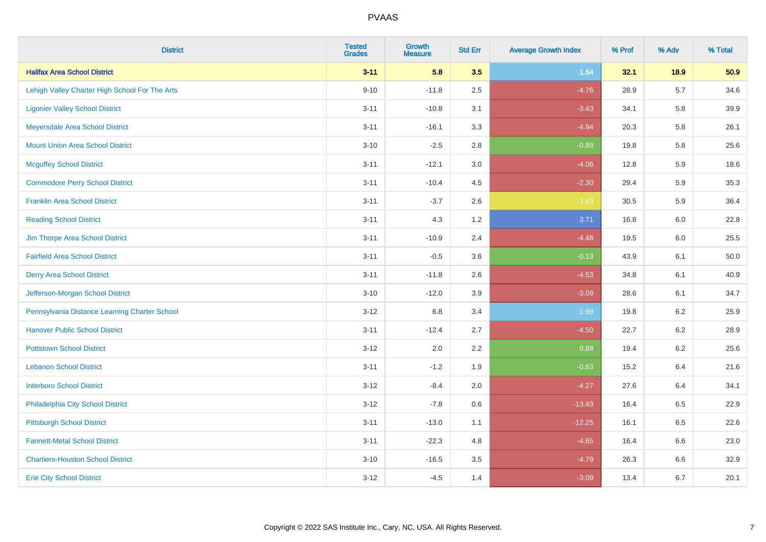| <b>District</b>                                | <b>Tested</b><br><b>Grades</b> | Growth<br><b>Measure</b> | <b>Std Err</b> | <b>Average Growth Index</b> | % Prof | % Adv | % Total |
|------------------------------------------------|--------------------------------|--------------------------|----------------|-----------------------------|--------|-------|---------|
| <b>Halifax Area School District</b>            | $3 - 11$                       | 5.8                      | 3.5            | 1.64                        | 32.1   | 18.9  | 50.9    |
| Lehigh Valley Charter High School For The Arts | $9 - 10$                       | $-11.8$                  | 2.5            | $-4.76$                     | 28.9   | 5.7   | 34.6    |
| <b>Ligonier Valley School District</b>         | $3 - 11$                       | $-10.8$                  | 3.1            | $-3.43$                     | 34.1   | 5.8   | 39.9    |
| Meyersdale Area School District                | $3 - 11$                       | $-16.1$                  | 3.3            | $-4.94$                     | 20.3   | 5.8   | 26.1    |
| <b>Mount Union Area School District</b>        | $3 - 10$                       | $-2.5$                   | 2.8            | $-0.89$                     | 19.8   | 5.8   | 25.6    |
| <b>Mcguffey School District</b>                | $3 - 11$                       | $-12.1$                  | 3.0            | $-4.06$                     | 12.8   | 5.9   | 18.6    |
| <b>Commodore Perry School District</b>         | $3 - 11$                       | $-10.4$                  | 4.5            | $-2.30$                     | 29.4   | 5.9   | 35.3    |
| <b>Franklin Area School District</b>           | $3 - 11$                       | $-3.7$                   | 2.6            | $-1.43$                     | 30.5   | 5.9   | 36.4    |
| <b>Reading School District</b>                 | $3 - 11$                       | 4.3                      | 1.2            | 3.71                        | 16.8   | 6.0   | 22.8    |
| Jim Thorpe Area School District                | $3 - 11$                       | $-10.9$                  | 2.4            | $-4.48$                     | 19.5   | 6.0   | 25.5    |
| <b>Fairfield Area School District</b>          | $3 - 11$                       | $-0.5$                   | 3.6            | $-0.13$                     | 43.9   | 6.1   | 50.0    |
| <b>Derry Area School District</b>              | $3 - 11$                       | $-11.8$                  | 2.6            | $-4.53$                     | 34.8   | 6.1   | 40.9    |
| Jefferson-Morgan School District               | $3 - 10$                       | $-12.0$                  | 3.9            | $-3.09$                     | 28.6   | 6.1   | 34.7    |
| Pennsylvania Distance Learning Charter School  | $3 - 12$                       | 6.8                      | 3.4            | 1.99                        | 19.8   | 6.2   | 25.9    |
| <b>Hanover Public School District</b>          | $3 - 11$                       | $-12.4$                  | 2.7            | $-4.50$                     | 22.7   | 6.2   | 28.9    |
| <b>Pottstown School District</b>               | $3 - 12$                       | 2.0                      | 2.2            | 0.88                        | 19.4   | 6.2   | 25.6    |
| <b>Lebanon School District</b>                 | $3 - 11$                       | $-1.2$                   | 1.9            | $-0.63$                     | 15.2   | 6.4   | 21.6    |
| <b>Interboro School District</b>               | $3 - 12$                       | $-8.4$                   | 2.0            | $-4.27$                     | 27.6   | 6.4   | 34.1    |
| Philadelphia City School District              | $3 - 12$                       | $-7.8$                   | 0.6            | $-13.43$                    | 16.4   | 6.5   | 22.9    |
| <b>Pittsburgh School District</b>              | $3 - 11$                       | $-13.0$                  | 1.1            | $-12.25$                    | 16.1   | 6.5   | 22.6    |
| <b>Fannett-Metal School District</b>           | $3 - 11$                       | $-22.3$                  | 4.8            | $-4.65$                     | 16.4   | 6.6   | 23.0    |
| <b>Chartiers-Houston School District</b>       | $3 - 10$                       | $-16.5$                  | 3.5            | $-4.79$                     | 26.3   | 6.6   | 32.9    |
| <b>Erie City School District</b>               | $3 - 12$                       | $-4.5$                   | 1.4            | $-3.09$                     | 13.4   | 6.7   | 20.1    |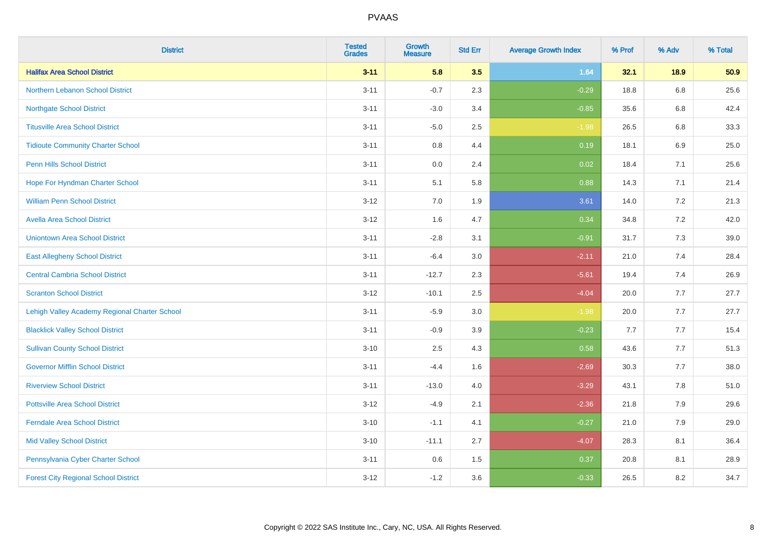| <b>District</b>                               | <b>Tested</b><br><b>Grades</b> | <b>Growth</b><br><b>Measure</b> | <b>Std Err</b> | <b>Average Growth Index</b> | % Prof | % Adv | % Total |
|-----------------------------------------------|--------------------------------|---------------------------------|----------------|-----------------------------|--------|-------|---------|
| <b>Halifax Area School District</b>           | $3 - 11$                       | 5.8                             | 3.5            | 1.64                        | 32.1   | 18.9  | 50.9    |
| <b>Northern Lebanon School District</b>       | $3 - 11$                       | $-0.7$                          | 2.3            | $-0.29$                     | 18.8   | 6.8   | 25.6    |
| <b>Northgate School District</b>              | $3 - 11$                       | $-3.0$                          | 3.4            | $-0.85$                     | 35.6   | 6.8   | 42.4    |
| <b>Titusville Area School District</b>        | $3 - 11$                       | $-5.0$                          | 2.5            | $-1.98$                     | 26.5   | 6.8   | 33.3    |
| <b>Tidioute Community Charter School</b>      | $3 - 11$                       | 0.8                             | 4.4            | 0.19                        | 18.1   | 6.9   | 25.0    |
| <b>Penn Hills School District</b>             | $3 - 11$                       | 0.0                             | 2.4            | 0.02                        | 18.4   | 7.1   | 25.6    |
| Hope For Hyndman Charter School               | $3 - 11$                       | 5.1                             | 5.8            | 0.88                        | 14.3   | 7.1   | 21.4    |
| <b>William Penn School District</b>           | $3 - 12$                       | 7.0                             | 1.9            | 3.61                        | 14.0   | 7.2   | 21.3    |
| <b>Avella Area School District</b>            | $3 - 12$                       | 1.6                             | 4.7            | 0.34                        | 34.8   | 7.2   | 42.0    |
| <b>Uniontown Area School District</b>         | $3 - 11$                       | $-2.8$                          | 3.1            | $-0.91$                     | 31.7   | 7.3   | 39.0    |
| <b>East Allegheny School District</b>         | $3 - 11$                       | $-6.4$                          | 3.0            | $-2.11$                     | 21.0   | 7.4   | 28.4    |
| <b>Central Cambria School District</b>        | $3 - 11$                       | $-12.7$                         | 2.3            | $-5.61$                     | 19.4   | 7.4   | 26.9    |
| <b>Scranton School District</b>               | $3 - 12$                       | $-10.1$                         | 2.5            | $-4.04$                     | 20.0   | 7.7   | 27.7    |
| Lehigh Valley Academy Regional Charter School | $3 - 11$                       | $-5.9$                          | 3.0            | $-1.98$                     | 20.0   | 7.7   | 27.7    |
| <b>Blacklick Valley School District</b>       | $3 - 11$                       | $-0.9$                          | 3.9            | $-0.23$                     | 7.7    | 7.7   | 15.4    |
| <b>Sullivan County School District</b>        | $3 - 10$                       | 2.5                             | 4.3            | 0.58                        | 43.6   | 7.7   | 51.3    |
| <b>Governor Mifflin School District</b>       | $3 - 11$                       | $-4.4$                          | 1.6            | $-2.69$                     | 30.3   | 7.7   | 38.0    |
| <b>Riverview School District</b>              | $3 - 11$                       | $-13.0$                         | 4.0            | $-3.29$                     | 43.1   | 7.8   | 51.0    |
| <b>Pottsville Area School District</b>        | $3 - 12$                       | $-4.9$                          | 2.1            | $-2.36$                     | 21.8   | 7.9   | 29.6    |
| <b>Ferndale Area School District</b>          | $3 - 10$                       | $-1.1$                          | 4.1            | $-0.27$                     | 21.0   | 7.9   | 29.0    |
| <b>Mid Valley School District</b>             | $3 - 10$                       | $-11.1$                         | 2.7            | $-4.07$                     | 28.3   | 8.1   | 36.4    |
| Pennsylvania Cyber Charter School             | $3 - 11$                       | 0.6                             | 1.5            | 0.37                        | 20.8   | 8.1   | 28.9    |
| <b>Forest City Regional School District</b>   | $3 - 12$                       | $-1.2$                          | 3.6            | $-0.33$                     | 26.5   | 8.2   | 34.7    |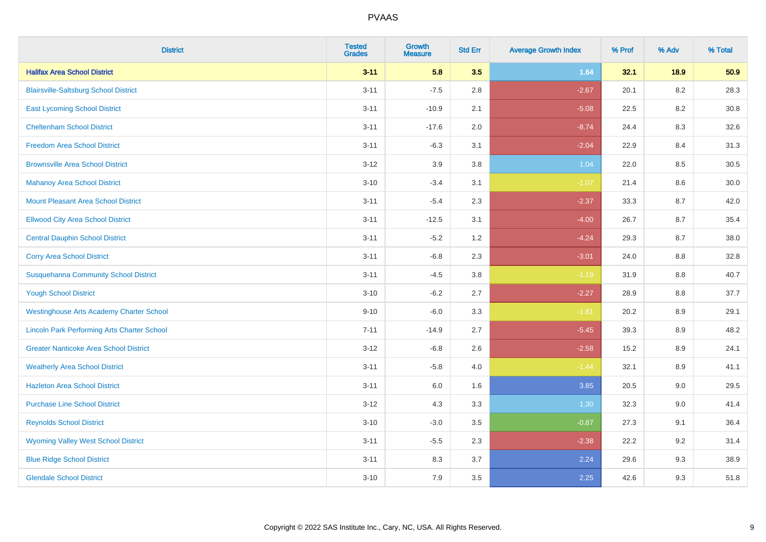| <b>District</b>                                    | <b>Tested</b><br><b>Grades</b> | <b>Growth</b><br><b>Measure</b> | <b>Std Err</b> | <b>Average Growth Index</b> | % Prof | % Adv   | % Total |
|----------------------------------------------------|--------------------------------|---------------------------------|----------------|-----------------------------|--------|---------|---------|
| <b>Halifax Area School District</b>                | $3 - 11$                       | 5.8                             | 3.5            | 1.64                        | 32.1   | 18.9    | 50.9    |
| <b>Blairsville-Saltsburg School District</b>       | $3 - 11$                       | $-7.5$                          | 2.8            | $-2.67$                     | 20.1   | $8.2\,$ | 28.3    |
| <b>East Lycoming School District</b>               | $3 - 11$                       | $-10.9$                         | 2.1            | $-5.08$                     | 22.5   | 8.2     | 30.8    |
| <b>Cheltenham School District</b>                  | $3 - 11$                       | $-17.6$                         | 2.0            | $-8.74$                     | 24.4   | 8.3     | 32.6    |
| <b>Freedom Area School District</b>                | $3 - 11$                       | $-6.3$                          | 3.1            | $-2.04$                     | 22.9   | 8.4     | 31.3    |
| <b>Brownsville Area School District</b>            | $3 - 12$                       | 3.9                             | 3.8            | 1.04                        | 22.0   | 8.5     | 30.5    |
| <b>Mahanoy Area School District</b>                | $3 - 10$                       | $-3.4$                          | 3.1            | $-1.07$                     | 21.4   | 8.6     | 30.0    |
| <b>Mount Pleasant Area School District</b>         | $3 - 11$                       | $-5.4$                          | 2.3            | $-2.37$                     | 33.3   | 8.7     | 42.0    |
| <b>Ellwood City Area School District</b>           | $3 - 11$                       | $-12.5$                         | 3.1            | $-4.00$                     | 26.7   | 8.7     | 35.4    |
| <b>Central Dauphin School District</b>             | $3 - 11$                       | $-5.2$                          | 1.2            | $-4.24$                     | 29.3   | 8.7     | 38.0    |
| <b>Corry Area School District</b>                  | $3 - 11$                       | $-6.8$                          | 2.3            | $-3.01$                     | 24.0   | 8.8     | 32.8    |
| <b>Susquehanna Community School District</b>       | $3 - 11$                       | $-4.5$                          | 3.8            | $-1.19$                     | 31.9   | 8.8     | 40.7    |
| <b>Yough School District</b>                       | $3 - 10$                       | $-6.2$                          | 2.7            | $-2.27$                     | 28.9   | $8.8\,$ | 37.7    |
| <b>Westinghouse Arts Academy Charter School</b>    | $9 - 10$                       | $-6.0$                          | 3.3            | $-1.81$                     | 20.2   | 8.9     | 29.1    |
| <b>Lincoln Park Performing Arts Charter School</b> | $7 - 11$                       | $-14.9$                         | 2.7            | $-5.45$                     | 39.3   | 8.9     | 48.2    |
| <b>Greater Nanticoke Area School District</b>      | $3 - 12$                       | $-6.8$                          | 2.6            | $-2.58$                     | 15.2   | $8.9\,$ | 24.1    |
| <b>Weatherly Area School District</b>              | $3 - 11$                       | $-5.8$                          | 4.0            | $-1.44$                     | 32.1   | 8.9     | 41.1    |
| <b>Hazleton Area School District</b>               | $3 - 11$                       | 6.0                             | 1.6            | 3.85                        | 20.5   | 9.0     | 29.5    |
| <b>Purchase Line School District</b>               | $3 - 12$                       | 4.3                             | 3.3            | 1.30                        | 32.3   | 9.0     | 41.4    |
| <b>Reynolds School District</b>                    | $3 - 10$                       | $-3.0$                          | 3.5            | $-0.87$                     | 27.3   | 9.1     | 36.4    |
| <b>Wyoming Valley West School District</b>         | $3 - 11$                       | $-5.5$                          | 2.3            | $-2.38$                     | 22.2   | 9.2     | 31.4    |
| <b>Blue Ridge School District</b>                  | $3 - 11$                       | 8.3                             | 3.7            | 2.24                        | 29.6   | 9.3     | 38.9    |
| <b>Glendale School District</b>                    | $3 - 10$                       | 7.9                             | 3.5            | 2.25                        | 42.6   | 9.3     | 51.8    |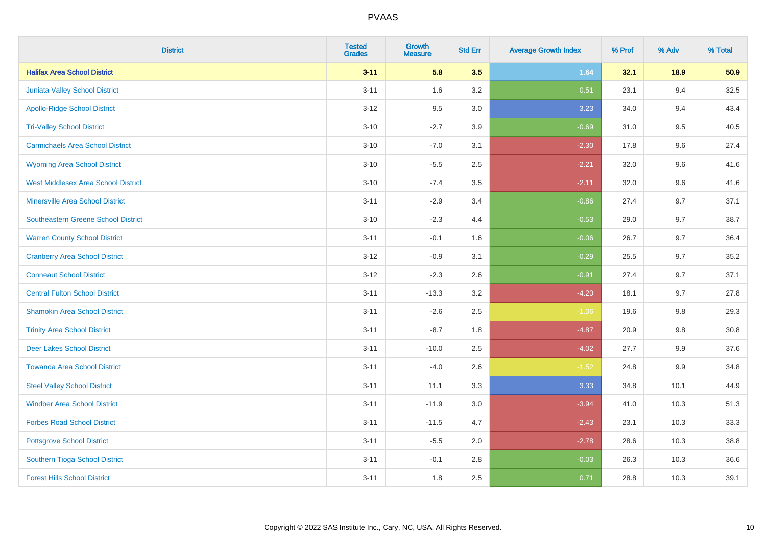| <b>District</b>                            | <b>Tested</b><br><b>Grades</b> | Growth<br><b>Measure</b> | <b>Std Err</b> | <b>Average Growth Index</b> | % Prof | % Adv | % Total  |
|--------------------------------------------|--------------------------------|--------------------------|----------------|-----------------------------|--------|-------|----------|
| <b>Halifax Area School District</b>        | $3 - 11$                       | 5.8                      | 3.5            | 1.64                        | 32.1   | 18.9  | 50.9     |
| Juniata Valley School District             | $3 - 11$                       | 1.6                      | 3.2            | 0.51                        | 23.1   | 9.4   | 32.5     |
| <b>Apollo-Ridge School District</b>        | $3 - 12$                       | 9.5                      | 3.0            | 3.23                        | 34.0   | 9.4   | 43.4     |
| <b>Tri-Valley School District</b>          | $3 - 10$                       | $-2.7$                   | 3.9            | $-0.69$                     | 31.0   | 9.5   | 40.5     |
| <b>Carmichaels Area School District</b>    | $3 - 10$                       | $-7.0$                   | 3.1            | $-2.30$                     | 17.8   | 9.6   | 27.4     |
| <b>Wyoming Area School District</b>        | $3 - 10$                       | $-5.5$                   | 2.5            | $-2.21$                     | 32.0   | 9.6   | 41.6     |
| <b>West Middlesex Area School District</b> | $3 - 10$                       | $-7.4$                   | 3.5            | $-2.11$                     | 32.0   | 9.6   | 41.6     |
| <b>Minersville Area School District</b>    | $3 - 11$                       | $-2.9$                   | 3.4            | $-0.86$                     | 27.4   | 9.7   | 37.1     |
| <b>Southeastern Greene School District</b> | $3 - 10$                       | $-2.3$                   | 4.4            | $-0.53$                     | 29.0   | 9.7   | 38.7     |
| <b>Warren County School District</b>       | $3 - 11$                       | $-0.1$                   | 1.6            | $-0.06$                     | 26.7   | 9.7   | 36.4     |
| <b>Cranberry Area School District</b>      | $3 - 12$                       | $-0.9$                   | 3.1            | $-0.29$                     | 25.5   | 9.7   | 35.2     |
| <b>Conneaut School District</b>            | $3 - 12$                       | $-2.3$                   | 2.6            | $-0.91$                     | 27.4   | 9.7   | 37.1     |
| <b>Central Fulton School District</b>      | $3 - 11$                       | $-13.3$                  | $3.2\,$        | $-4.20$                     | 18.1   | 9.7   | 27.8     |
| <b>Shamokin Area School District</b>       | $3 - 11$                       | $-2.6$                   | 2.5            | $-1.06$                     | 19.6   | 9.8   | 29.3     |
| <b>Trinity Area School District</b>        | $3 - 11$                       | $-8.7$                   | 1.8            | $-4.87$                     | 20.9   | 9.8   | $30.8\,$ |
| <b>Deer Lakes School District</b>          | $3 - 11$                       | $-10.0$                  | 2.5            | $-4.02$                     | 27.7   | 9.9   | 37.6     |
| <b>Towanda Area School District</b>        | $3 - 11$                       | $-4.0$                   | 2.6            | $-1.52$                     | 24.8   | 9.9   | 34.8     |
| <b>Steel Valley School District</b>        | $3 - 11$                       | 11.1                     | 3.3            | 3.33                        | 34.8   | 10.1  | 44.9     |
| <b>Windber Area School District</b>        | $3 - 11$                       | $-11.9$                  | 3.0            | $-3.94$                     | 41.0   | 10.3  | 51.3     |
| <b>Forbes Road School District</b>         | $3 - 11$                       | $-11.5$                  | 4.7            | $-2.43$                     | 23.1   | 10.3  | 33.3     |
| <b>Pottsgrove School District</b>          | $3 - 11$                       | $-5.5$                   | 2.0            | $-2.78$                     | 28.6   | 10.3  | 38.8     |
| Southern Tioga School District             | $3 - 11$                       | $-0.1$                   | 2.8            | $-0.03$                     | 26.3   | 10.3  | 36.6     |
| <b>Forest Hills School District</b>        | $3 - 11$                       | 1.8                      | 2.5            | 0.71                        | 28.8   | 10.3  | 39.1     |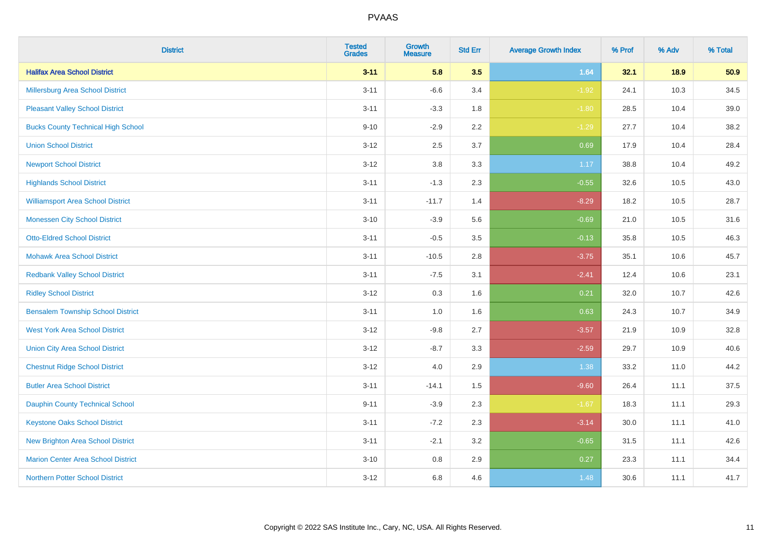| <b>District</b>                           | <b>Tested</b><br><b>Grades</b> | <b>Growth</b><br><b>Measure</b> | <b>Std Err</b> | <b>Average Growth Index</b> | % Prof | % Adv | % Total |
|-------------------------------------------|--------------------------------|---------------------------------|----------------|-----------------------------|--------|-------|---------|
| <b>Halifax Area School District</b>       | $3 - 11$                       | 5.8                             | 3.5            | 1.64                        | 32.1   | 18.9  | 50.9    |
| <b>Millersburg Area School District</b>   | $3 - 11$                       | $-6.6$                          | 3.4            | $-1.92$                     | 24.1   | 10.3  | 34.5    |
| <b>Pleasant Valley School District</b>    | $3 - 11$                       | $-3.3$                          | 1.8            | $-1.80$                     | 28.5   | 10.4  | 39.0    |
| <b>Bucks County Technical High School</b> | $9 - 10$                       | $-2.9$                          | 2.2            | $-1.29$                     | 27.7   | 10.4  | 38.2    |
| <b>Union School District</b>              | $3-12$                         | 2.5                             | 3.7            | 0.69                        | 17.9   | 10.4  | 28.4    |
| <b>Newport School District</b>            | $3 - 12$                       | 3.8                             | 3.3            | 1.17                        | 38.8   | 10.4  | 49.2    |
| <b>Highlands School District</b>          | $3 - 11$                       | $-1.3$                          | 2.3            | $-0.55$                     | 32.6   | 10.5  | 43.0    |
| <b>Williamsport Area School District</b>  | $3 - 11$                       | $-11.7$                         | 1.4            | $-8.29$                     | 18.2   | 10.5  | 28.7    |
| <b>Monessen City School District</b>      | $3 - 10$                       | $-3.9$                          | 5.6            | $-0.69$                     | 21.0   | 10.5  | 31.6    |
| <b>Otto-Eldred School District</b>        | $3 - 11$                       | $-0.5$                          | 3.5            | $-0.13$                     | 35.8   | 10.5  | 46.3    |
| <b>Mohawk Area School District</b>        | $3 - 11$                       | $-10.5$                         | 2.8            | $-3.75$                     | 35.1   | 10.6  | 45.7    |
| <b>Redbank Valley School District</b>     | $3 - 11$                       | $-7.5$                          | 3.1            | $-2.41$                     | 12.4   | 10.6  | 23.1    |
| <b>Ridley School District</b>             | $3 - 12$                       | 0.3                             | 1.6            | 0.21                        | 32.0   | 10.7  | 42.6    |
| <b>Bensalem Township School District</b>  | $3 - 11$                       | $1.0\,$                         | 1.6            | 0.63                        | 24.3   | 10.7  | 34.9    |
| <b>West York Area School District</b>     | $3 - 12$                       | $-9.8$                          | 2.7            | $-3.57$                     | 21.9   | 10.9  | 32.8    |
| <b>Union City Area School District</b>    | $3 - 12$                       | $-8.7$                          | 3.3            | $-2.59$                     | 29.7   | 10.9  | 40.6    |
| <b>Chestnut Ridge School District</b>     | $3 - 12$                       | 4.0                             | 2.9            | 1.38                        | 33.2   | 11.0  | 44.2    |
| <b>Butler Area School District</b>        | $3 - 11$                       | $-14.1$                         | 1.5            | $-9.60$                     | 26.4   | 11.1  | 37.5    |
| <b>Dauphin County Technical School</b>    | $9 - 11$                       | $-3.9$                          | 2.3            | $-1.67$                     | 18.3   | 11.1  | 29.3    |
| <b>Keystone Oaks School District</b>      | $3 - 11$                       | $-7.2$                          | 2.3            | $-3.14$                     | 30.0   | 11.1  | 41.0    |
| <b>New Brighton Area School District</b>  | $3 - 11$                       | $-2.1$                          | 3.2            | $-0.65$                     | 31.5   | 11.1  | 42.6    |
| <b>Marion Center Area School District</b> | $3 - 10$                       | $0.8\,$                         | 2.9            | 0.27                        | 23.3   | 11.1  | 34.4    |
| <b>Northern Potter School District</b>    | $3-12$                         | 6.8                             | 4.6            | 1.48                        | 30.6   | 11.1  | 41.7    |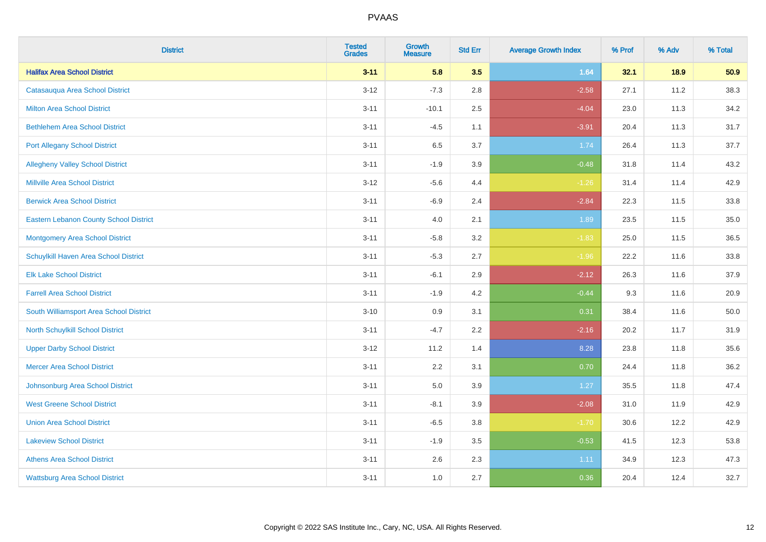| <b>District</b>                               | <b>Tested</b><br><b>Grades</b> | <b>Growth</b><br><b>Measure</b> | <b>Std Err</b> | <b>Average Growth Index</b> | % Prof | % Adv | % Total |
|-----------------------------------------------|--------------------------------|---------------------------------|----------------|-----------------------------|--------|-------|---------|
| <b>Halifax Area School District</b>           | $3 - 11$                       | 5.8                             | 3.5            | 1.64                        | 32.1   | 18.9  | 50.9    |
| Catasauqua Area School District               | $3 - 12$                       | $-7.3$                          | 2.8            | $-2.58$                     | 27.1   | 11.2  | 38.3    |
| <b>Milton Area School District</b>            | $3 - 11$                       | $-10.1$                         | 2.5            | $-4.04$                     | 23.0   | 11.3  | 34.2    |
| <b>Bethlehem Area School District</b>         | $3 - 11$                       | $-4.5$                          | 1.1            | $-3.91$                     | 20.4   | 11.3  | 31.7    |
| <b>Port Allegany School District</b>          | $3 - 11$                       | 6.5                             | 3.7            | 1.74                        | 26.4   | 11.3  | 37.7    |
| <b>Allegheny Valley School District</b>       | $3 - 11$                       | $-1.9$                          | 3.9            | $-0.48$                     | 31.8   | 11.4  | 43.2    |
| <b>Millville Area School District</b>         | $3 - 12$                       | $-5.6$                          | 4.4            | $-1.26$                     | 31.4   | 11.4  | 42.9    |
| <b>Berwick Area School District</b>           | $3 - 11$                       | $-6.9$                          | 2.4            | $-2.84$                     | 22.3   | 11.5  | 33.8    |
| <b>Eastern Lebanon County School District</b> | $3 - 11$                       | 4.0                             | 2.1            | 1.89                        | 23.5   | 11.5  | 35.0    |
| <b>Montgomery Area School District</b>        | $3 - 11$                       | $-5.8$                          | 3.2            | $-1.83$                     | 25.0   | 11.5  | 36.5    |
| Schuylkill Haven Area School District         | $3 - 11$                       | $-5.3$                          | 2.7            | $-1.96$                     | 22.2   | 11.6  | 33.8    |
| <b>Elk Lake School District</b>               | $3 - 11$                       | $-6.1$                          | 2.9            | $-2.12$                     | 26.3   | 11.6  | 37.9    |
| <b>Farrell Area School District</b>           | $3 - 11$                       | $-1.9$                          | 4.2            | $-0.44$                     | 9.3    | 11.6  | 20.9    |
| South Williamsport Area School District       | $3 - 10$                       | 0.9                             | 3.1            | 0.31                        | 38.4   | 11.6  | 50.0    |
| <b>North Schuylkill School District</b>       | $3 - 11$                       | $-4.7$                          | 2.2            | $-2.16$                     | 20.2   | 11.7  | 31.9    |
| <b>Upper Darby School District</b>            | $3 - 12$                       | 11.2                            | 1.4            | 8.28                        | 23.8   | 11.8  | 35.6    |
| <b>Mercer Area School District</b>            | $3 - 11$                       | $2.2\,$                         | 3.1            | 0.70                        | 24.4   | 11.8  | 36.2    |
| Johnsonburg Area School District              | $3 - 11$                       | 5.0                             | 3.9            | 1.27                        | 35.5   | 11.8  | 47.4    |
| <b>West Greene School District</b>            | $3 - 11$                       | $-8.1$                          | 3.9            | $-2.08$                     | 31.0   | 11.9  | 42.9    |
| <b>Union Area School District</b>             | $3 - 11$                       | $-6.5$                          | 3.8            | $-1.70$                     | 30.6   | 12.2  | 42.9    |
| <b>Lakeview School District</b>               | $3 - 11$                       | $-1.9$                          | 3.5            | $-0.53$                     | 41.5   | 12.3  | 53.8    |
| <b>Athens Area School District</b>            | $3 - 11$                       | 2.6                             | 2.3            | 1.11                        | 34.9   | 12.3  | 47.3    |
| <b>Wattsburg Area School District</b>         | $3 - 11$                       | 1.0                             | 2.7            | 0.36                        | 20.4   | 12.4  | 32.7    |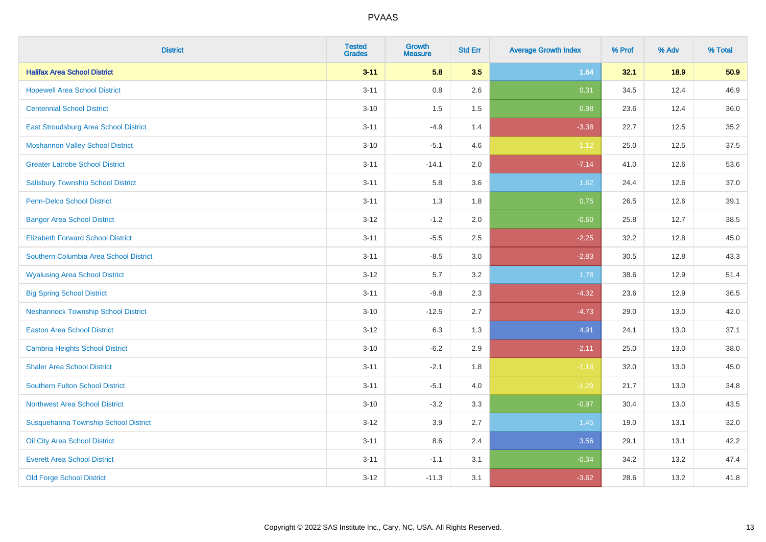| <b>District</b>                            | <b>Tested</b><br><b>Grades</b> | <b>Growth</b><br><b>Measure</b> | <b>Std Err</b> | <b>Average Growth Index</b> | % Prof | % Adv | % Total |
|--------------------------------------------|--------------------------------|---------------------------------|----------------|-----------------------------|--------|-------|---------|
| <b>Halifax Area School District</b>        | $3 - 11$                       | 5.8                             | 3.5            | 1.64                        | 32.1   | 18.9  | 50.9    |
| <b>Hopewell Area School District</b>       | $3 - 11$                       | $0.8\,$                         | 2.6            | 0.31                        | 34.5   | 12.4  | 46.9    |
| <b>Centennial School District</b>          | $3 - 10$                       | 1.5                             | 1.5            | 0.98                        | 23.6   | 12.4  | 36.0    |
| East Stroudsburg Area School District      | $3 - 11$                       | $-4.9$                          | 1.4            | $-3.38$                     | 22.7   | 12.5  | 35.2    |
| <b>Moshannon Valley School District</b>    | $3 - 10$                       | $-5.1$                          | 4.6            | $-1.12$                     | 25.0   | 12.5  | 37.5    |
| <b>Greater Latrobe School District</b>     | $3 - 11$                       | $-14.1$                         | 2.0            | $-7.14$                     | 41.0   | 12.6  | 53.6    |
| <b>Salisbury Township School District</b>  | $3 - 11$                       | 5.8                             | 3.6            | 1.62                        | 24.4   | 12.6  | 37.0    |
| <b>Penn-Delco School District</b>          | $3 - 11$                       | 1.3                             | 1.8            | 0.75                        | 26.5   | 12.6  | 39.1    |
| <b>Bangor Area School District</b>         | $3-12$                         | $-1.2$                          | 2.0            | $-0.60$                     | 25.8   | 12.7  | 38.5    |
| <b>Elizabeth Forward School District</b>   | $3 - 11$                       | $-5.5$                          | 2.5            | $-2.25$                     | 32.2   | 12.8  | 45.0    |
| Southern Columbia Area School District     | $3 - 11$                       | $-8.5$                          | 3.0            | $-2.83$                     | 30.5   | 12.8  | 43.3    |
| <b>Wyalusing Area School District</b>      | $3 - 12$                       | 5.7                             | 3.2            | 1.78                        | 38.6   | 12.9  | 51.4    |
| <b>Big Spring School District</b>          | $3 - 11$                       | $-9.8$                          | 2.3            | $-4.32$                     | 23.6   | 12.9  | 36.5    |
| <b>Neshannock Township School District</b> | $3 - 10$                       | $-12.5$                         | 2.7            | $-4.73$                     | 29.0   | 13.0  | 42.0    |
| <b>Easton Area School District</b>         | $3-12$                         | 6.3                             | 1.3            | 4.91                        | 24.1   | 13.0  | 37.1    |
| Cambria Heights School District            | $3 - 10$                       | $-6.2$                          | 2.9            | $-2.11$                     | 25.0   | 13.0  | 38.0    |
| <b>Shaler Area School District</b>         | $3 - 11$                       | $-2.1$                          | 1.8            | $-1.18$                     | 32.0   | 13.0  | 45.0    |
| <b>Southern Fulton School District</b>     | $3 - 11$                       | $-5.1$                          | 4.0            | $-1.29$                     | 21.7   | 13.0  | 34.8    |
| <b>Northwest Area School District</b>      | $3 - 10$                       | $-3.2$                          | 3.3            | $-0.97$                     | 30.4   | 13.0  | 43.5    |
| Susquehanna Township School District       | $3 - 12$                       | 3.9                             | 2.7            | 1.45                        | 19.0   | 13.1  | 32.0    |
| Oil City Area School District              | $3 - 11$                       | 8.6                             | 2.4            | 3.56                        | 29.1   | 13.1  | 42.2    |
| <b>Everett Area School District</b>        | $3 - 11$                       | $-1.1$                          | 3.1            | $-0.34$                     | 34.2   | 13.2  | 47.4    |
| <b>Old Forge School District</b>           | $3 - 12$                       | $-11.3$                         | 3.1            | $-3.62$                     | 28.6   | 13.2  | 41.8    |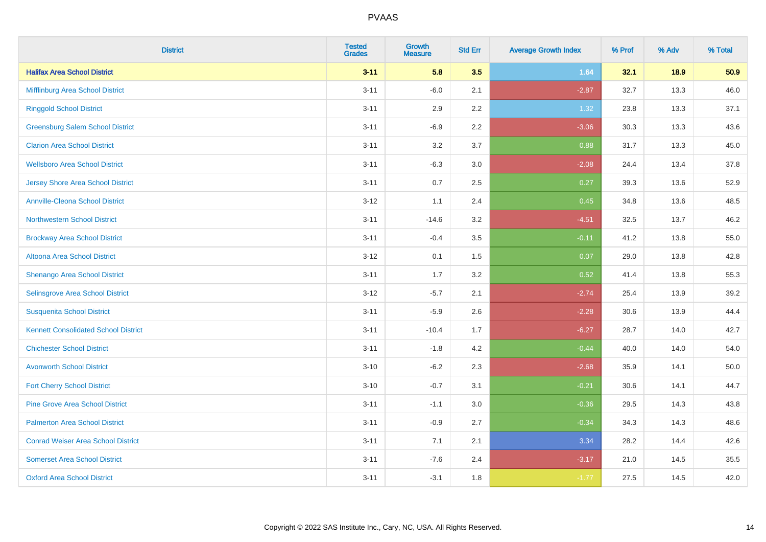| <b>District</b>                             | <b>Tested</b><br><b>Grades</b> | <b>Growth</b><br><b>Measure</b> | <b>Std Err</b> | <b>Average Growth Index</b> | % Prof | % Adv | % Total |
|---------------------------------------------|--------------------------------|---------------------------------|----------------|-----------------------------|--------|-------|---------|
| <b>Halifax Area School District</b>         | $3 - 11$                       | 5.8                             | 3.5            | 1.64                        | 32.1   | 18.9  | 50.9    |
| Mifflinburg Area School District            | $3 - 11$                       | $-6.0$                          | 2.1            | $-2.87$                     | 32.7   | 13.3  | 46.0    |
| <b>Ringgold School District</b>             | $3 - 11$                       | 2.9                             | 2.2            | 1.32                        | 23.8   | 13.3  | 37.1    |
| <b>Greensburg Salem School District</b>     | $3 - 11$                       | $-6.9$                          | 2.2            | $-3.06$                     | 30.3   | 13.3  | 43.6    |
| <b>Clarion Area School District</b>         | $3 - 11$                       | 3.2                             | 3.7            | 0.88                        | 31.7   | 13.3  | 45.0    |
| <b>Wellsboro Area School District</b>       | $3 - 11$                       | $-6.3$                          | 3.0            | $-2.08$                     | 24.4   | 13.4  | 37.8    |
| <b>Jersey Shore Area School District</b>    | $3 - 11$                       | 0.7                             | 2.5            | 0.27                        | 39.3   | 13.6  | 52.9    |
| <b>Annville-Cleona School District</b>      | $3 - 12$                       | 1.1                             | 2.4            | 0.45                        | 34.8   | 13.6  | 48.5    |
| <b>Northwestern School District</b>         | $3 - 11$                       | $-14.6$                         | 3.2            | $-4.51$                     | 32.5   | 13.7  | 46.2    |
| <b>Brockway Area School District</b>        | $3 - 11$                       | $-0.4$                          | 3.5            | $-0.11$                     | 41.2   | 13.8  | 55.0    |
| Altoona Area School District                | $3 - 12$                       | 0.1                             | 1.5            | 0.07                        | 29.0   | 13.8  | 42.8    |
| Shenango Area School District               | $3 - 11$                       | 1.7                             | 3.2            | 0.52                        | 41.4   | 13.8  | 55.3    |
| Selinsgrove Area School District            | $3 - 12$                       | $-5.7$                          | 2.1            | $-2.74$                     | 25.4   | 13.9  | 39.2    |
| <b>Susquenita School District</b>           | $3 - 11$                       | $-5.9$                          | 2.6            | $-2.28$                     | 30.6   | 13.9  | 44.4    |
| <b>Kennett Consolidated School District</b> | $3 - 11$                       | $-10.4$                         | 1.7            | $-6.27$                     | 28.7   | 14.0  | 42.7    |
| <b>Chichester School District</b>           | $3 - 11$                       | $-1.8$                          | 4.2            | $-0.44$                     | 40.0   | 14.0  | 54.0    |
| <b>Avonworth School District</b>            | $3 - 10$                       | $-6.2$                          | 2.3            | $-2.68$                     | 35.9   | 14.1  | 50.0    |
| <b>Fort Cherry School District</b>          | $3 - 10$                       | $-0.7$                          | 3.1            | $-0.21$                     | 30.6   | 14.1  | 44.7    |
| <b>Pine Grove Area School District</b>      | $3 - 11$                       | $-1.1$                          | 3.0            | $-0.36$                     | 29.5   | 14.3  | 43.8    |
| <b>Palmerton Area School District</b>       | $3 - 11$                       | $-0.9$                          | 2.7            | $-0.34$                     | 34.3   | 14.3  | 48.6    |
| <b>Conrad Weiser Area School District</b>   | $3 - 11$                       | 7.1                             | 2.1            | 3.34                        | 28.2   | 14.4  | 42.6    |
| <b>Somerset Area School District</b>        | $3 - 11$                       | $-7.6$                          | 2.4            | $-3.17$                     | 21.0   | 14.5  | 35.5    |
| <b>Oxford Area School District</b>          | $3 - 11$                       | $-3.1$                          | 1.8            | $-1.77$                     | 27.5   | 14.5  | 42.0    |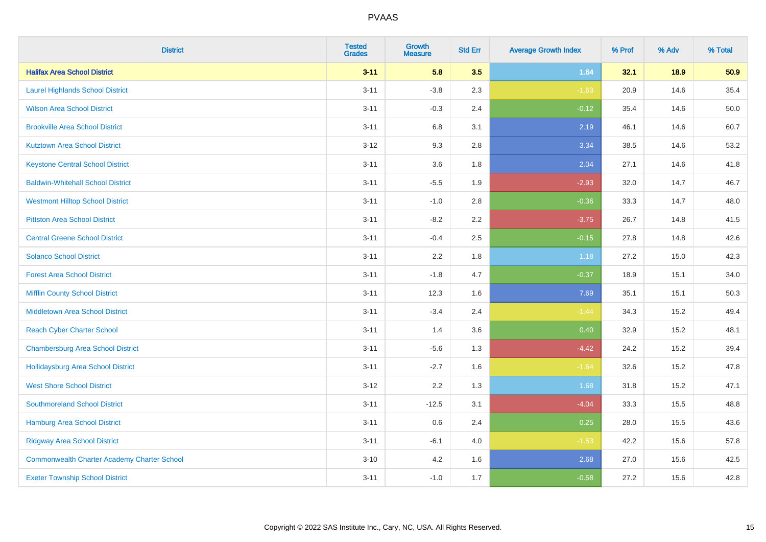| <b>District</b>                                    | <b>Tested</b><br><b>Grades</b> | <b>Growth</b><br><b>Measure</b> | <b>Std Err</b> | <b>Average Growth Index</b> | % Prof | % Adv | % Total |
|----------------------------------------------------|--------------------------------|---------------------------------|----------------|-----------------------------|--------|-------|---------|
| <b>Halifax Area School District</b>                | $3 - 11$                       | 5.8                             | 3.5            | 1.64                        | 32.1   | 18.9  | 50.9    |
| <b>Laurel Highlands School District</b>            | $3 - 11$                       | $-3.8$                          | 2.3            | $-1.63$                     | 20.9   | 14.6  | 35.4    |
| <b>Wilson Area School District</b>                 | $3 - 11$                       | $-0.3$                          | 2.4            | $-0.12$                     | 35.4   | 14.6  | 50.0    |
| <b>Brookville Area School District</b>             | $3 - 11$                       | 6.8                             | 3.1            | 2.19                        | 46.1   | 14.6  | 60.7    |
| <b>Kutztown Area School District</b>               | $3 - 12$                       | 9.3                             | 2.8            | 3.34                        | 38.5   | 14.6  | 53.2    |
| <b>Keystone Central School District</b>            | $3 - 11$                       | 3.6                             | 1.8            | 2.04                        | 27.1   | 14.6  | 41.8    |
| <b>Baldwin-Whitehall School District</b>           | $3 - 11$                       | $-5.5$                          | 1.9            | $-2.93$                     | 32.0   | 14.7  | 46.7    |
| <b>Westmont Hilltop School District</b>            | $3 - 11$                       | $-1.0$                          | 2.8            | $-0.36$                     | 33.3   | 14.7  | 48.0    |
| <b>Pittston Area School District</b>               | $3 - 11$                       | $-8.2$                          | 2.2            | $-3.75$                     | 26.7   | 14.8  | 41.5    |
| <b>Central Greene School District</b>              | $3 - 11$                       | $-0.4$                          | 2.5            | $-0.15$                     | 27.8   | 14.8  | 42.6    |
| <b>Solanco School District</b>                     | $3 - 11$                       | 2.2                             | 1.8            | 1.18                        | 27.2   | 15.0  | 42.3    |
| <b>Forest Area School District</b>                 | $3 - 11$                       | $-1.8$                          | 4.7            | $-0.37$                     | 18.9   | 15.1  | 34.0    |
| <b>Mifflin County School District</b>              | $3 - 11$                       | 12.3                            | 1.6            | 7.69                        | 35.1   | 15.1  | 50.3    |
| <b>Middletown Area School District</b>             | $3 - 11$                       | $-3.4$                          | 2.4            | $-1.44$                     | 34.3   | 15.2  | 49.4    |
| <b>Reach Cyber Charter School</b>                  | $3 - 11$                       | 1.4                             | 3.6            | 0.40                        | 32.9   | 15.2  | 48.1    |
| <b>Chambersburg Area School District</b>           | $3 - 11$                       | $-5.6$                          | 1.3            | $-4.42$                     | 24.2   | 15.2  | 39.4    |
| Hollidaysburg Area School District                 | $3 - 11$                       | $-2.7$                          | 1.6            | $-1.64$                     | 32.6   | 15.2  | 47.8    |
| <b>West Shore School District</b>                  | $3-12$                         | 2.2                             | 1.3            | 1.68                        | 31.8   | 15.2  | 47.1    |
| <b>Southmoreland School District</b>               | $3 - 11$                       | $-12.5$                         | 3.1            | $-4.04$                     | 33.3   | 15.5  | 48.8    |
| <b>Hamburg Area School District</b>                | $3 - 11$                       | 0.6                             | 2.4            | 0.25                        | 28.0   | 15.5  | 43.6    |
| <b>Ridgway Area School District</b>                | $3 - 11$                       | $-6.1$                          | 4.0            | $-1.53$                     | 42.2   | 15.6  | 57.8    |
| <b>Commonwealth Charter Academy Charter School</b> | $3 - 10$                       | 4.2                             | 1.6            | 2.68                        | 27.0   | 15.6  | 42.5    |
| <b>Exeter Township School District</b>             | $3 - 11$                       | $-1.0$                          | 1.7            | $-0.58$                     | 27.2   | 15.6  | 42.8    |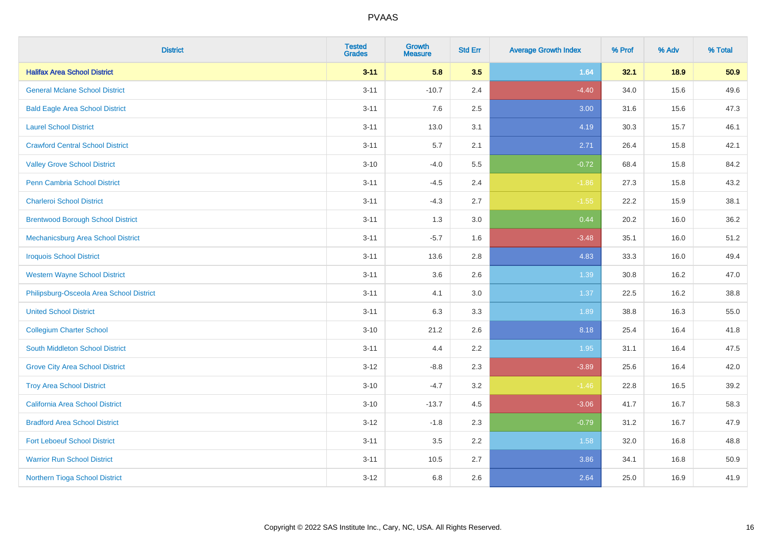| <b>District</b>                          | <b>Tested</b><br><b>Grades</b> | <b>Growth</b><br><b>Measure</b> | <b>Std Err</b> | <b>Average Growth Index</b> | % Prof | % Adv | % Total |
|------------------------------------------|--------------------------------|---------------------------------|----------------|-----------------------------|--------|-------|---------|
| <b>Halifax Area School District</b>      | $3 - 11$                       | 5.8                             | 3.5            | 1.64                        | 32.1   | 18.9  | 50.9    |
| <b>General Mclane School District</b>    | $3 - 11$                       | $-10.7$                         | 2.4            | $-4.40$                     | 34.0   | 15.6  | 49.6    |
| <b>Bald Eagle Area School District</b>   | $3 - 11$                       | 7.6                             | 2.5            | 3.00                        | 31.6   | 15.6  | 47.3    |
| <b>Laurel School District</b>            | $3 - 11$                       | 13.0                            | 3.1            | 4.19                        | 30.3   | 15.7  | 46.1    |
| <b>Crawford Central School District</b>  | $3 - 11$                       | 5.7                             | 2.1            | 2.71                        | 26.4   | 15.8  | 42.1    |
| <b>Valley Grove School District</b>      | $3 - 10$                       | $-4.0$                          | 5.5            | $-0.72$                     | 68.4   | 15.8  | 84.2    |
| Penn Cambria School District             | $3 - 11$                       | $-4.5$                          | 2.4            | $-1.86$                     | 27.3   | 15.8  | 43.2    |
| <b>Charleroi School District</b>         | $3 - 11$                       | $-4.3$                          | 2.7            | $-1.55$                     | 22.2   | 15.9  | 38.1    |
| <b>Brentwood Borough School District</b> | $3 - 11$                       | 1.3                             | 3.0            | 0.44                        | 20.2   | 16.0  | 36.2    |
| Mechanicsburg Area School District       | $3 - 11$                       | $-5.7$                          | 1.6            | $-3.48$                     | 35.1   | 16.0  | 51.2    |
| <b>Iroquois School District</b>          | $3 - 11$                       | 13.6                            | 2.8            | 4.83                        | 33.3   | 16.0  | 49.4    |
| <b>Western Wayne School District</b>     | $3 - 11$                       | 3.6                             | 2.6            | 1.39                        | 30.8   | 16.2  | 47.0    |
| Philipsburg-Osceola Area School District | $3 - 11$                       | 4.1                             | 3.0            | 1.37                        | 22.5   | 16.2  | 38.8    |
| <b>United School District</b>            | $3 - 11$                       | 6.3                             | 3.3            | 1.89                        | 38.8   | 16.3  | 55.0    |
| <b>Collegium Charter School</b>          | $3 - 10$                       | 21.2                            | 2.6            | 8.18                        | 25.4   | 16.4  | 41.8    |
| South Middleton School District          | $3 - 11$                       | 4.4                             | 2.2            | 1.95                        | 31.1   | 16.4  | 47.5    |
| <b>Grove City Area School District</b>   | $3 - 12$                       | $-8.8$                          | 2.3            | $-3.89$                     | 25.6   | 16.4  | 42.0    |
| <b>Troy Area School District</b>         | $3 - 10$                       | $-4.7$                          | 3.2            | $-1.46$                     | 22.8   | 16.5  | 39.2    |
| <b>California Area School District</b>   | $3 - 10$                       | $-13.7$                         | 4.5            | $-3.06$                     | 41.7   | 16.7  | 58.3    |
| <b>Bradford Area School District</b>     | $3 - 12$                       | $-1.8$                          | 2.3            | $-0.79$                     | 31.2   | 16.7  | 47.9    |
| <b>Fort Leboeuf School District</b>      | $3 - 11$                       | 3.5                             | 2.2            | 1.58                        | 32.0   | 16.8  | 48.8    |
| <b>Warrior Run School District</b>       | $3 - 11$                       | 10.5                            | 2.7            | 3.86                        | 34.1   | 16.8  | 50.9    |
| Northern Tioga School District           | $3 - 12$                       | 6.8                             | 2.6            | 2.64                        | 25.0   | 16.9  | 41.9    |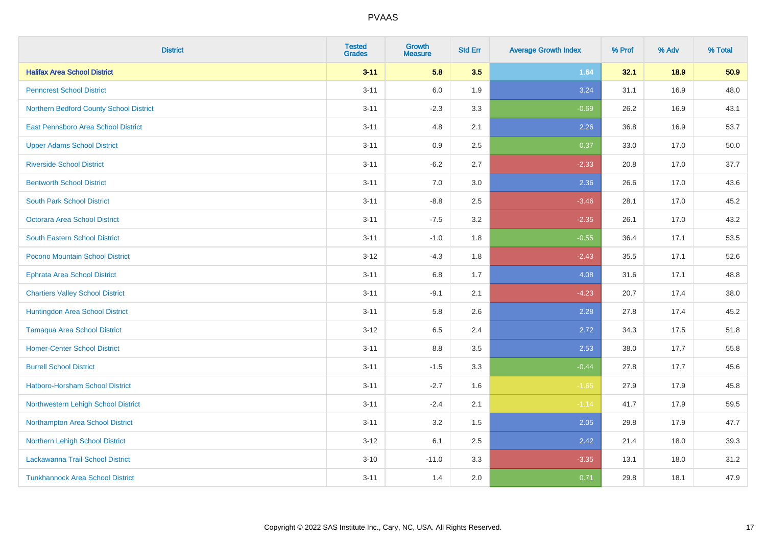| <b>District</b>                         | <b>Tested</b><br><b>Grades</b> | <b>Growth</b><br><b>Measure</b> | <b>Std Err</b> | <b>Average Growth Index</b> | % Prof | % Adv | % Total |
|-----------------------------------------|--------------------------------|---------------------------------|----------------|-----------------------------|--------|-------|---------|
| <b>Halifax Area School District</b>     | $3 - 11$                       | 5.8                             | 3.5            | 1.64                        | 32.1   | 18.9  | 50.9    |
| <b>Penncrest School District</b>        | $3 - 11$                       | 6.0                             | 1.9            | 3.24                        | 31.1   | 16.9  | 48.0    |
| Northern Bedford County School District | $3 - 11$                       | $-2.3$                          | 3.3            | $-0.69$                     | 26.2   | 16.9  | 43.1    |
| East Pennsboro Area School District     | $3 - 11$                       | 4.8                             | 2.1            | 2.26                        | 36.8   | 16.9  | 53.7    |
| <b>Upper Adams School District</b>      | $3 - 11$                       | 0.9                             | 2.5            | 0.37                        | 33.0   | 17.0  | 50.0    |
| <b>Riverside School District</b>        | $3 - 11$                       | $-6.2$                          | 2.7            | $-2.33$                     | 20.8   | 17.0  | 37.7    |
| <b>Bentworth School District</b>        | $3 - 11$                       | 7.0                             | 3.0            | 2.36                        | 26.6   | 17.0  | 43.6    |
| <b>South Park School District</b>       | $3 - 11$                       | $-8.8$                          | 2.5            | $-3.46$                     | 28.1   | 17.0  | 45.2    |
| <b>Octorara Area School District</b>    | $3 - 11$                       | $-7.5$                          | 3.2            | $-2.35$                     | 26.1   | 17.0  | 43.2    |
| <b>South Eastern School District</b>    | $3 - 11$                       | $-1.0$                          | 1.8            | $-0.55$                     | 36.4   | 17.1  | 53.5    |
| Pocono Mountain School District         | $3 - 12$                       | $-4.3$                          | 1.8            | $-2.43$                     | 35.5   | 17.1  | 52.6    |
| <b>Ephrata Area School District</b>     | $3 - 11$                       | 6.8                             | 1.7            | 4.08                        | 31.6   | 17.1  | 48.8    |
| <b>Chartiers Valley School District</b> | $3 - 11$                       | $-9.1$                          | 2.1            | $-4.23$                     | 20.7   | 17.4  | 38.0    |
| Huntingdon Area School District         | $3 - 11$                       | 5.8                             | 2.6            | 2.28                        | 27.8   | 17.4  | 45.2    |
| <b>Tamaqua Area School District</b>     | $3-12$                         | 6.5                             | 2.4            | 2.72                        | 34.3   | 17.5  | 51.8    |
| <b>Homer-Center School District</b>     | $3 - 11$                       | 8.8                             | 3.5            | 2.53                        | 38.0   | 17.7  | 55.8    |
| <b>Burrell School District</b>          | $3 - 11$                       | $-1.5$                          | 3.3            | $-0.44$                     | 27.8   | 17.7  | 45.6    |
| Hatboro-Horsham School District         | $3 - 11$                       | $-2.7$                          | 1.6            | $-1.65$                     | 27.9   | 17.9  | 45.8    |
| Northwestern Lehigh School District     | $3 - 11$                       | $-2.4$                          | 2.1            | $-1.14$                     | 41.7   | 17.9  | 59.5    |
| Northampton Area School District        | $3 - 11$                       | 3.2                             | 1.5            | 2.05                        | 29.8   | 17.9  | 47.7    |
| Northern Lehigh School District         | $3-12$                         | 6.1                             | 2.5            | 2.42                        | 21.4   | 18.0  | 39.3    |
| Lackawanna Trail School District        | $3 - 10$                       | $-11.0$                         | 3.3            | $-3.35$                     | 13.1   | 18.0  | 31.2    |
| <b>Tunkhannock Area School District</b> | $3 - 11$                       | 1.4                             | 2.0            | 0.71                        | 29.8   | 18.1  | 47.9    |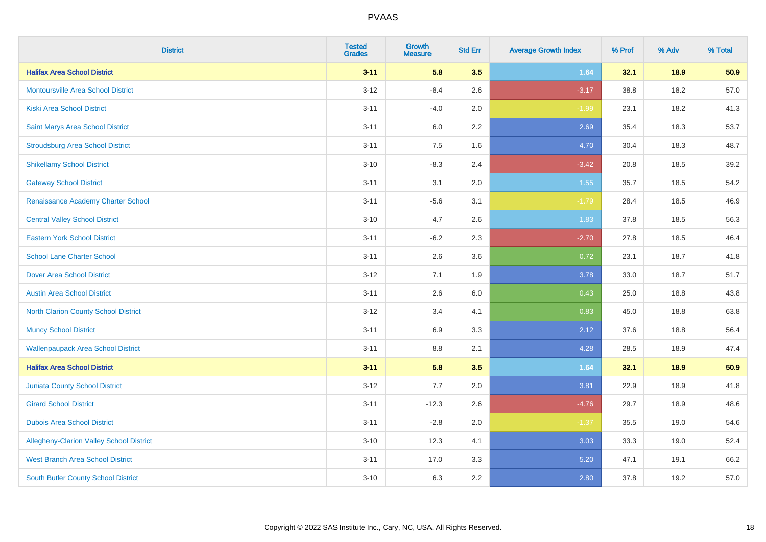| <b>District</b>                            | <b>Tested</b><br><b>Grades</b> | <b>Growth</b><br><b>Measure</b> | <b>Std Err</b> | <b>Average Growth Index</b> | % Prof | % Adv | % Total |
|--------------------------------------------|--------------------------------|---------------------------------|----------------|-----------------------------|--------|-------|---------|
| <b>Halifax Area School District</b>        | $3 - 11$                       | 5.8                             | 3.5            | 1.64                        | 32.1   | 18.9  | 50.9    |
| <b>Montoursville Area School District</b>  | $3 - 12$                       | $-8.4$                          | 2.6            | $-3.17$                     | 38.8   | 18.2  | 57.0    |
| <b>Kiski Area School District</b>          | $3 - 11$                       | $-4.0$                          | 2.0            | $-1.99$                     | 23.1   | 18.2  | 41.3    |
| Saint Marys Area School District           | $3 - 11$                       | 6.0                             | 2.2            | 2.69                        | 35.4   | 18.3  | 53.7    |
| <b>Stroudsburg Area School District</b>    | $3 - 11$                       | 7.5                             | 1.6            | 4.70                        | 30.4   | 18.3  | 48.7    |
| <b>Shikellamy School District</b>          | $3 - 10$                       | $-8.3$                          | 2.4            | $-3.42$                     | 20.8   | 18.5  | 39.2    |
| <b>Gateway School District</b>             | $3 - 11$                       | 3.1                             | 2.0            | 1.55                        | 35.7   | 18.5  | 54.2    |
| Renaissance Academy Charter School         | $3 - 11$                       | $-5.6$                          | 3.1            | $-1.79$                     | 28.4   | 18.5  | 46.9    |
| <b>Central Valley School District</b>      | $3 - 10$                       | 4.7                             | 2.6            | 1.83                        | 37.8   | 18.5  | 56.3    |
| <b>Eastern York School District</b>        | $3 - 11$                       | $-6.2$                          | 2.3            | $-2.70$                     | 27.8   | 18.5  | 46.4    |
| <b>School Lane Charter School</b>          | $3 - 11$                       | 2.6                             | 3.6            | 0.72                        | 23.1   | 18.7  | 41.8    |
| <b>Dover Area School District</b>          | $3 - 12$                       | 7.1                             | 1.9            | 3.78                        | 33.0   | 18.7  | 51.7    |
| <b>Austin Area School District</b>         | $3 - 11$                       | 2.6                             | 6.0            | 0.43                        | 25.0   | 18.8  | 43.8    |
| North Clarion County School District       | $3 - 12$                       | 3.4                             | 4.1            | 0.83                        | 45.0   | 18.8  | 63.8    |
| <b>Muncy School District</b>               | $3 - 11$                       | 6.9                             | 3.3            | 2.12                        | 37.6   | 18.8  | 56.4    |
| <b>Wallenpaupack Area School District</b>  | $3 - 11$                       | 8.8                             | 2.1            | 4.28                        | 28.5   | 18.9  | 47.4    |
| <b>Halifax Area School District</b>        | $3 - 11$                       | 5.8                             | 3.5            | 1.64                        | 32.1   | 18.9  | 50.9    |
| Juniata County School District             | $3 - 12$                       | 7.7                             | 2.0            | 3.81                        | 22.9   | 18.9  | 41.8    |
| <b>Girard School District</b>              | $3 - 11$                       | $-12.3$                         | 2.6            | $-4.76$                     | 29.7   | 18.9  | 48.6    |
| <b>Dubois Area School District</b>         | $3 - 11$                       | $-2.8$                          | 2.0            | $-1.37$                     | 35.5   | 19.0  | 54.6    |
| Allegheny-Clarion Valley School District   | $3 - 10$                       | 12.3                            | 4.1            | 3.03                        | 33.3   | 19.0  | 52.4    |
| <b>West Branch Area School District</b>    | $3 - 11$                       | 17.0                            | 3.3            | 5.20                        | 47.1   | 19.1  | 66.2    |
| <b>South Butler County School District</b> | $3 - 10$                       | 6.3                             | 2.2            | 2.80                        | 37.8   | 19.2  | 57.0    |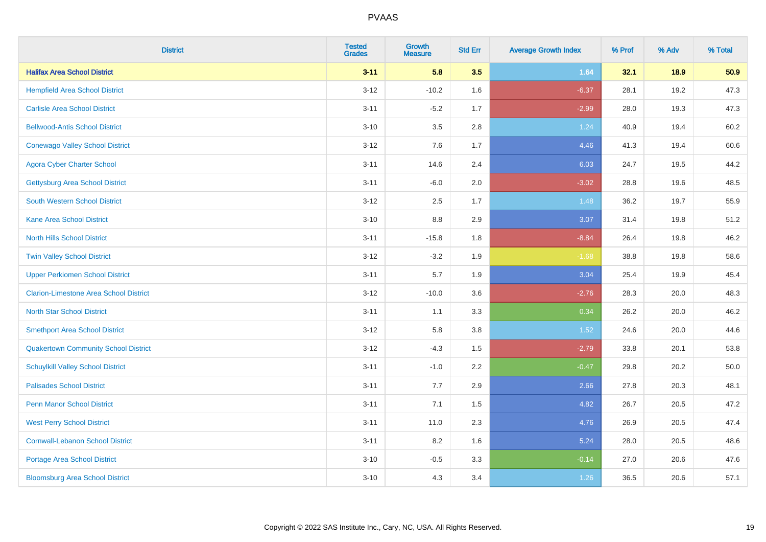| <b>District</b>                               | <b>Tested</b><br><b>Grades</b> | <b>Growth</b><br><b>Measure</b> | <b>Std Err</b> | <b>Average Growth Index</b> | % Prof | % Adv | % Total  |
|-----------------------------------------------|--------------------------------|---------------------------------|----------------|-----------------------------|--------|-------|----------|
| <b>Halifax Area School District</b>           | $3 - 11$                       | 5.8                             | 3.5            | 1.64                        | 32.1   | 18.9  | 50.9     |
| <b>Hempfield Area School District</b>         | $3 - 12$                       | $-10.2$                         | 1.6            | $-6.37$                     | 28.1   | 19.2  | 47.3     |
| <b>Carlisle Area School District</b>          | $3 - 11$                       | $-5.2$                          | 1.7            | $-2.99$                     | 28.0   | 19.3  | 47.3     |
| <b>Bellwood-Antis School District</b>         | $3 - 10$                       | 3.5                             | 2.8            | 1.24                        | 40.9   | 19.4  | 60.2     |
| <b>Conewago Valley School District</b>        | $3 - 12$                       | 7.6                             | 1.7            | 4.46                        | 41.3   | 19.4  | 60.6     |
| <b>Agora Cyber Charter School</b>             | $3 - 11$                       | 14.6                            | 2.4            | 6.03                        | 24.7   | 19.5  | 44.2     |
| <b>Gettysburg Area School District</b>        | $3 - 11$                       | $-6.0$                          | 2.0            | $-3.02$                     | 28.8   | 19.6  | 48.5     |
| <b>South Western School District</b>          | $3 - 12$                       | 2.5                             | 1.7            | 1.48                        | 36.2   | 19.7  | 55.9     |
| <b>Kane Area School District</b>              | $3 - 10$                       | 8.8                             | 2.9            | 3.07                        | 31.4   | 19.8  | 51.2     |
| <b>North Hills School District</b>            | $3 - 11$                       | $-15.8$                         | 1.8            | $-8.84$                     | 26.4   | 19.8  | 46.2     |
| <b>Twin Valley School District</b>            | $3 - 12$                       | $-3.2$                          | 1.9            | $-1.68$                     | 38.8   | 19.8  | 58.6     |
| <b>Upper Perkiomen School District</b>        | $3 - 11$                       | 5.7                             | 1.9            | 3.04                        | 25.4   | 19.9  | 45.4     |
| <b>Clarion-Limestone Area School District</b> | $3 - 12$                       | $-10.0$                         | 3.6            | $-2.76$                     | 28.3   | 20.0  | 48.3     |
| <b>North Star School District</b>             | $3 - 11$                       | 1.1                             | 3.3            | 0.34                        | 26.2   | 20.0  | 46.2     |
| <b>Smethport Area School District</b>         | $3 - 12$                       | 5.8                             | 3.8            | 1.52                        | 24.6   | 20.0  | 44.6     |
| <b>Quakertown Community School District</b>   | $3 - 12$                       | $-4.3$                          | 1.5            | $-2.79$                     | 33.8   | 20.1  | 53.8     |
| <b>Schuylkill Valley School District</b>      | $3 - 11$                       | $-1.0$                          | 2.2            | $-0.47$                     | 29.8   | 20.2  | $50.0\,$ |
| <b>Palisades School District</b>              | $3 - 11$                       | 7.7                             | 2.9            | 2.66                        | 27.8   | 20.3  | 48.1     |
| <b>Penn Manor School District</b>             | $3 - 11$                       | 7.1                             | 1.5            | 4.82                        | 26.7   | 20.5  | 47.2     |
| <b>West Perry School District</b>             | $3 - 11$                       | 11.0                            | 2.3            | 4.76                        | 26.9   | 20.5  | 47.4     |
| <b>Cornwall-Lebanon School District</b>       | $3 - 11$                       | 8.2                             | 1.6            | 5.24                        | 28.0   | 20.5  | 48.6     |
| <b>Portage Area School District</b>           | $3 - 10$                       | $-0.5$                          | 3.3            | $-0.14$                     | 27.0   | 20.6  | 47.6     |
| <b>Bloomsburg Area School District</b>        | $3 - 10$                       | 4.3                             | 3.4            | 1.26                        | 36.5   | 20.6  | 57.1     |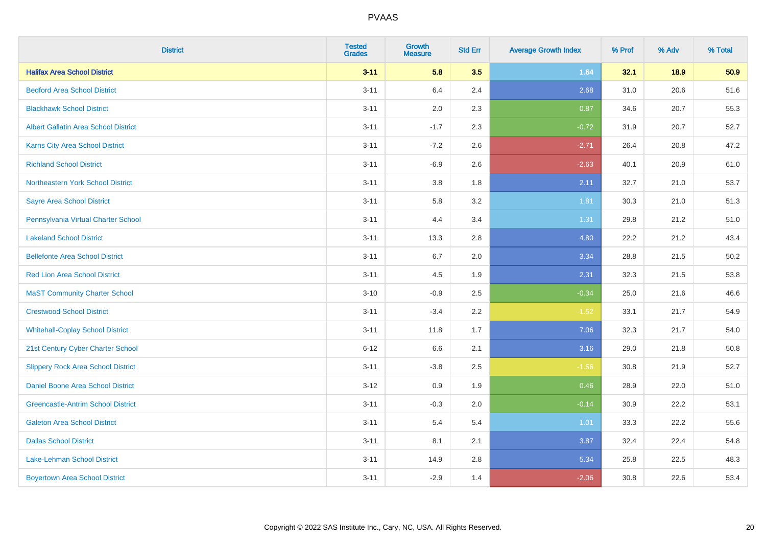| <b>District</b>                             | <b>Tested</b><br><b>Grades</b> | Growth<br><b>Measure</b> | <b>Std Err</b> | <b>Average Growth Index</b> | % Prof | % Adv | % Total |
|---------------------------------------------|--------------------------------|--------------------------|----------------|-----------------------------|--------|-------|---------|
| <b>Halifax Area School District</b>         | $3 - 11$                       | 5.8                      | 3.5            | 1.64                        | 32.1   | 18.9  | 50.9    |
| <b>Bedford Area School District</b>         | $3 - 11$                       | 6.4                      | 2.4            | 2.68                        | 31.0   | 20.6  | 51.6    |
| <b>Blackhawk School District</b>            | $3 - 11$                       | 2.0                      | 2.3            | 0.87                        | 34.6   | 20.7  | 55.3    |
| <b>Albert Gallatin Area School District</b> | $3 - 11$                       | $-1.7$                   | 2.3            | $-0.72$                     | 31.9   | 20.7  | 52.7    |
| <b>Karns City Area School District</b>      | $3 - 11$                       | $-7.2$                   | 2.6            | $-2.71$                     | 26.4   | 20.8  | 47.2    |
| <b>Richland School District</b>             | $3 - 11$                       | $-6.9$                   | 2.6            | $-2.63$                     | 40.1   | 20.9  | 61.0    |
| Northeastern York School District           | $3 - 11$                       | 3.8                      | 1.8            | 2.11                        | 32.7   | 21.0  | 53.7    |
| <b>Sayre Area School District</b>           | $3 - 11$                       | 5.8                      | 3.2            | 1.81                        | 30.3   | 21.0  | 51.3    |
| Pennsylvania Virtual Charter School         | $3 - 11$                       | 4.4                      | 3.4            | 1.31                        | 29.8   | 21.2  | 51.0    |
| <b>Lakeland School District</b>             | $3 - 11$                       | 13.3                     | 2.8            | 4.80                        | 22.2   | 21.2  | 43.4    |
| <b>Bellefonte Area School District</b>      | $3 - 11$                       | 6.7                      | 2.0            | 3.34                        | 28.8   | 21.5  | 50.2    |
| <b>Red Lion Area School District</b>        | $3 - 11$                       | 4.5                      | 1.9            | 2.31                        | 32.3   | 21.5  | 53.8    |
| <b>MaST Community Charter School</b>        | $3 - 10$                       | $-0.9$                   | 2.5            | $-0.34$                     | 25.0   | 21.6  | 46.6    |
| <b>Crestwood School District</b>            | $3 - 11$                       | $-3.4$                   | 2.2            | $-1.52$                     | 33.1   | 21.7  | 54.9    |
| <b>Whitehall-Coplay School District</b>     | $3 - 11$                       | 11.8                     | 1.7            | 7.06                        | 32.3   | 21.7  | 54.0    |
| 21st Century Cyber Charter School           | $6 - 12$                       | 6.6                      | 2.1            | 3.16                        | 29.0   | 21.8  | 50.8    |
| <b>Slippery Rock Area School District</b>   | $3 - 11$                       | $-3.8$                   | 2.5            | $-1.56$                     | 30.8   | 21.9  | 52.7    |
| Daniel Boone Area School District           | $3-12$                         | 0.9                      | 1.9            | 0.46                        | 28.9   | 22.0  | 51.0    |
| <b>Greencastle-Antrim School District</b>   | $3 - 11$                       | $-0.3$                   | 2.0            | $-0.14$                     | 30.9   | 22.2  | 53.1    |
| <b>Galeton Area School District</b>         | $3 - 11$                       | 5.4                      | 5.4            | 1.01                        | 33.3   | 22.2  | 55.6    |
| <b>Dallas School District</b>               | $3 - 11$                       | 8.1                      | 2.1            | 3.87                        | 32.4   | 22.4  | 54.8    |
| Lake-Lehman School District                 | $3 - 11$                       | 14.9                     | 2.8            | 5.34                        | 25.8   | 22.5  | 48.3    |
| <b>Boyertown Area School District</b>       | $3 - 11$                       | $-2.9$                   | 1.4            | $-2.06$                     | 30.8   | 22.6  | 53.4    |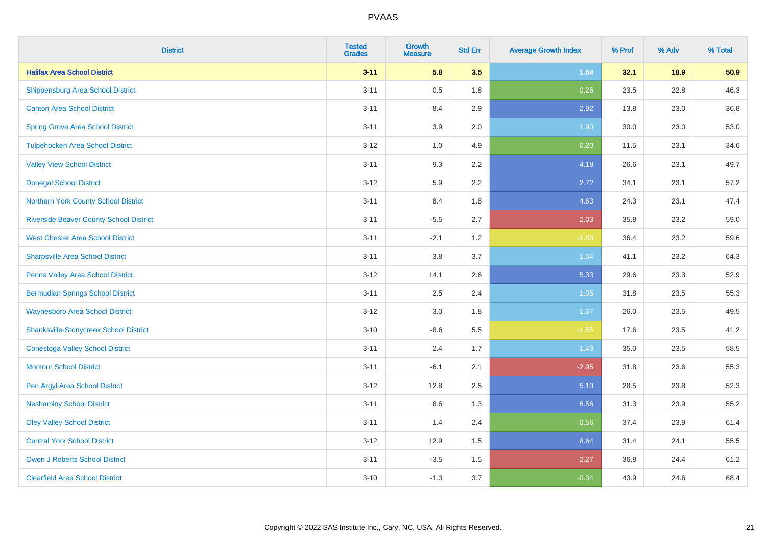| <b>District</b>                                | <b>Tested</b><br><b>Grades</b> | <b>Growth</b><br><b>Measure</b> | <b>Std Err</b> | <b>Average Growth Index</b> | % Prof | % Adv | % Total |
|------------------------------------------------|--------------------------------|---------------------------------|----------------|-----------------------------|--------|-------|---------|
| <b>Halifax Area School District</b>            | $3 - 11$                       | 5.8                             | 3.5            | 1.64                        | 32.1   | 18.9  | 50.9    |
| <b>Shippensburg Area School District</b>       | $3 - 11$                       | 0.5                             | 1.8            | 0.26                        | 23.5   | 22.8  | 46.3    |
| <b>Canton Area School District</b>             | $3 - 11$                       | 8.4                             | 2.9            | 2.92                        | 13.8   | 23.0  | 36.8    |
| <b>Spring Grove Area School District</b>       | $3 - 11$                       | 3.9                             | 2.0            | 1.90                        | 30.0   | 23.0  | 53.0    |
| <b>Tulpehocken Area School District</b>        | $3 - 12$                       | 1.0                             | 4.9            | 0.20                        | 11.5   | 23.1  | 34.6    |
| <b>Valley View School District</b>             | $3 - 11$                       | 9.3                             | 2.2            | 4.18                        | 26.6   | 23.1  | 49.7    |
| <b>Donegal School District</b>                 | $3-12$                         | 5.9                             | 2.2            | 2.72                        | 34.1   | 23.1  | 57.2    |
| Northern York County School District           | $3 - 11$                       | 8.4                             | 1.8            | 4.63                        | 24.3   | 23.1  | 47.4    |
| <b>Riverside Beaver County School District</b> | $3 - 11$                       | $-5.5$                          | 2.7            | $-2.03$                     | 35.8   | 23.2  | 59.0    |
| <b>West Chester Area School District</b>       | $3 - 11$                       | $-2.1$                          | 1.2            | $-1.83$                     | 36.4   | 23.2  | 59.6    |
| <b>Sharpsville Area School District</b>        | $3 - 11$                       | 3.8                             | 3.7            | 1.04                        | 41.1   | 23.2  | 64.3    |
| Penns Valley Area School District              | $3 - 12$                       | 14.1                            | 2.6            | 5.33                        | 29.6   | 23.3  | 52.9    |
| <b>Bermudian Springs School District</b>       | $3 - 11$                       | 2.5                             | 2.4            | 1.05                        | 31.8   | 23.5  | 55.3    |
| <b>Waynesboro Area School District</b>         | $3-12$                         | 3.0                             | 1.8            | 1.67                        | 26.0   | 23.5  | 49.5    |
| <b>Shanksville-Stonycreek School District</b>  | $3 - 10$                       | $-8.6$                          | 5.5            | $-1.55$                     | 17.6   | 23.5  | 41.2    |
| <b>Conestoga Valley School District</b>        | $3 - 11$                       | 2.4                             | 1.7            | 1.43                        | 35.0   | 23.5  | 58.5    |
| <b>Montour School District</b>                 | $3 - 11$                       | $-6.1$                          | 2.1            | $-2.95$                     | 31.8   | 23.6  | 55.3    |
| Pen Argyl Area School District                 | $3 - 12$                       | 12.8                            | 2.5            | 5.10                        | 28.5   | 23.8  | 52.3    |
| <b>Neshaminy School District</b>               | $3 - 11$                       | 8.6                             | 1.3            | 6.56                        | 31.3   | 23.9  | 55.2    |
| <b>Oley Valley School District</b>             | $3 - 11$                       | 1.4                             | 2.4            | 0.56                        | 37.4   | 23.9  | 61.4    |
| <b>Central York School District</b>            | $3-12$                         | 12.9                            | 1.5            | 8.64                        | 31.4   | 24.1  | 55.5    |
| <b>Owen J Roberts School District</b>          | $3 - 11$                       | $-3.5$                          | 1.5            | $-2.27$                     | 36.8   | 24.4  | 61.2    |
| <b>Clearfield Area School District</b>         | $3 - 10$                       | $-1.3$                          | 3.7            | $-0.34$                     | 43.9   | 24.6  | 68.4    |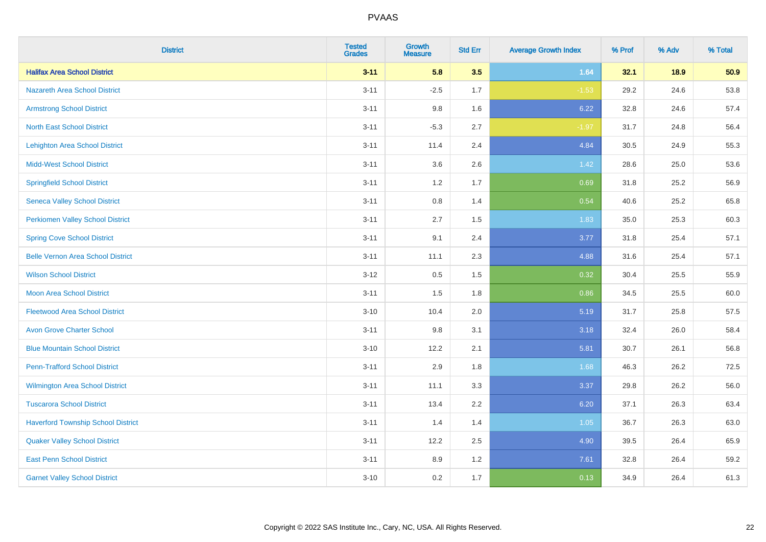| <b>District</b>                           | <b>Tested</b><br><b>Grades</b> | <b>Growth</b><br><b>Measure</b> | <b>Std Err</b> | <b>Average Growth Index</b> | % Prof | % Adv | % Total |
|-------------------------------------------|--------------------------------|---------------------------------|----------------|-----------------------------|--------|-------|---------|
| <b>Halifax Area School District</b>       | $3 - 11$                       | 5.8                             | 3.5            | 1.64                        | 32.1   | 18.9  | 50.9    |
| <b>Nazareth Area School District</b>      | $3 - 11$                       | $-2.5$                          | 1.7            | $-1.53$                     | 29.2   | 24.6  | 53.8    |
| <b>Armstrong School District</b>          | $3 - 11$                       | 9.8                             | 1.6            | 6.22                        | 32.8   | 24.6  | 57.4    |
| <b>North East School District</b>         | $3 - 11$                       | $-5.3$                          | 2.7            | $-1.97$                     | 31.7   | 24.8  | 56.4    |
| <b>Lehighton Area School District</b>     | $3 - 11$                       | 11.4                            | 2.4            | 4.84                        | 30.5   | 24.9  | 55.3    |
| <b>Midd-West School District</b>          | $3 - 11$                       | 3.6                             | 2.6            | 1.42                        | 28.6   | 25.0  | 53.6    |
| <b>Springfield School District</b>        | $3 - 11$                       | 1.2                             | 1.7            | 0.69                        | 31.8   | 25.2  | 56.9    |
| <b>Seneca Valley School District</b>      | $3 - 11$                       | 0.8                             | 1.4            | 0.54                        | 40.6   | 25.2  | 65.8    |
| <b>Perkiomen Valley School District</b>   | $3 - 11$                       | 2.7                             | 1.5            | 1.83                        | 35.0   | 25.3  | 60.3    |
| <b>Spring Cove School District</b>        | $3 - 11$                       | 9.1                             | 2.4            | 3.77                        | 31.8   | 25.4  | 57.1    |
| <b>Belle Vernon Area School District</b>  | $3 - 11$                       | 11.1                            | 2.3            | 4.88                        | 31.6   | 25.4  | 57.1    |
| <b>Wilson School District</b>             | $3 - 12$                       | 0.5                             | 1.5            | 0.32                        | 30.4   | 25.5  | 55.9    |
| Moon Area School District                 | $3 - 11$                       | 1.5                             | 1.8            | 0.86                        | 34.5   | 25.5  | 60.0    |
| <b>Fleetwood Area School District</b>     | $3 - 10$                       | 10.4                            | 2.0            | 5.19                        | 31.7   | 25.8  | 57.5    |
| <b>Avon Grove Charter School</b>          | $3 - 11$                       | 9.8                             | 3.1            | 3.18                        | 32.4   | 26.0  | 58.4    |
| <b>Blue Mountain School District</b>      | $3 - 10$                       | 12.2                            | 2.1            | 5.81                        | 30.7   | 26.1  | 56.8    |
| <b>Penn-Trafford School District</b>      | $3 - 11$                       | 2.9                             | 1.8            | 1.68                        | 46.3   | 26.2  | 72.5    |
| Wilmington Area School District           | $3 - 11$                       | 11.1                            | 3.3            | 3.37                        | 29.8   | 26.2  | 56.0    |
| <b>Tuscarora School District</b>          | $3 - 11$                       | 13.4                            | 2.2            | 6.20                        | 37.1   | 26.3  | 63.4    |
| <b>Haverford Township School District</b> | $3 - 11$                       | 1.4                             | 1.4            | 1.05                        | 36.7   | 26.3  | 63.0    |
| <b>Quaker Valley School District</b>      | $3 - 11$                       | 12.2                            | 2.5            | 4.90                        | 39.5   | 26.4  | 65.9    |
| <b>East Penn School District</b>          | $3 - 11$                       | 8.9                             | 1.2            | 7.61                        | 32.8   | 26.4  | 59.2    |
| <b>Garnet Valley School District</b>      | $3 - 10$                       | 0.2                             | 1.7            | 0.13                        | 34.9   | 26.4  | 61.3    |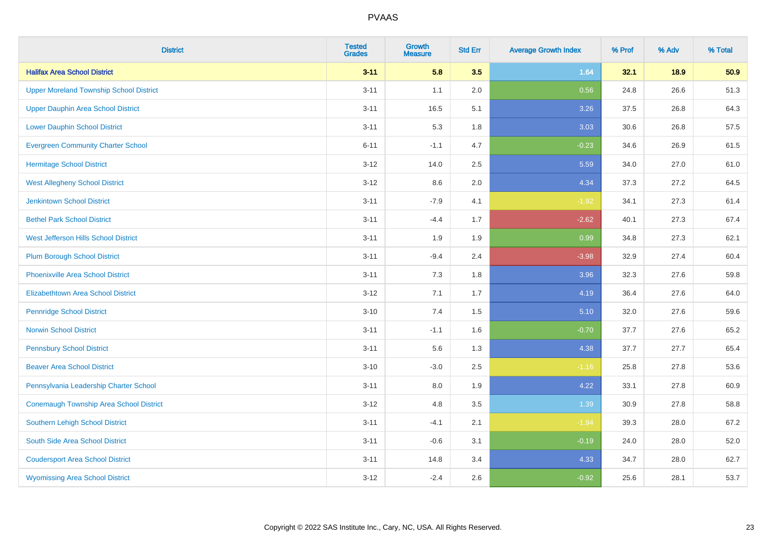| <b>District</b>                                | <b>Tested</b><br><b>Grades</b> | <b>Growth</b><br><b>Measure</b> | <b>Std Err</b> | <b>Average Growth Index</b> | % Prof | % Adv | % Total |
|------------------------------------------------|--------------------------------|---------------------------------|----------------|-----------------------------|--------|-------|---------|
| <b>Halifax Area School District</b>            | $3 - 11$                       | 5.8                             | 3.5            | 1.64                        | 32.1   | 18.9  | 50.9    |
| <b>Upper Moreland Township School District</b> | $3 - 11$                       | 1.1                             | 2.0            | 0.56                        | 24.8   | 26.6  | 51.3    |
| <b>Upper Dauphin Area School District</b>      | $3 - 11$                       | 16.5                            | 5.1            | 3.26                        | 37.5   | 26.8  | 64.3    |
| <b>Lower Dauphin School District</b>           | $3 - 11$                       | 5.3                             | 1.8            | 3.03                        | 30.6   | 26.8  | 57.5    |
| <b>Evergreen Community Charter School</b>      | $6 - 11$                       | $-1.1$                          | 4.7            | $-0.23$                     | 34.6   | 26.9  | 61.5    |
| <b>Hermitage School District</b>               | $3 - 12$                       | 14.0                            | 2.5            | 5.59                        | 34.0   | 27.0  | 61.0    |
| <b>West Allegheny School District</b>          | $3 - 12$                       | 8.6                             | 2.0            | 4.34                        | 37.3   | 27.2  | 64.5    |
| <b>Jenkintown School District</b>              | $3 - 11$                       | $-7.9$                          | 4.1            | $-1.92$                     | 34.1   | 27.3  | 61.4    |
| <b>Bethel Park School District</b>             | $3 - 11$                       | $-4.4$                          | 1.7            | $-2.62$                     | 40.1   | 27.3  | 67.4    |
| <b>West Jefferson Hills School District</b>    | $3 - 11$                       | 1.9                             | 1.9            | 0.99                        | 34.8   | 27.3  | 62.1    |
| <b>Plum Borough School District</b>            | $3 - 11$                       | $-9.4$                          | 2.4            | $-3.98$                     | 32.9   | 27.4  | 60.4    |
| <b>Phoenixville Area School District</b>       | $3 - 11$                       | 7.3                             | 1.8            | 3.96                        | 32.3   | 27.6  | 59.8    |
| Elizabethtown Area School District             | $3 - 12$                       | 7.1                             | 1.7            | 4.19                        | 36.4   | 27.6  | 64.0    |
| <b>Pennridge School District</b>               | $3 - 10$                       | 7.4                             | $1.5$          | 5.10                        | 32.0   | 27.6  | 59.6    |
| <b>Norwin School District</b>                  | $3 - 11$                       | $-1.1$                          | 1.6            | $-0.70$                     | 37.7   | 27.6  | 65.2    |
| <b>Pennsbury School District</b>               | $3 - 11$                       | 5.6                             | 1.3            | 4.38                        | 37.7   | 27.7  | 65.4    |
| <b>Beaver Area School District</b>             | $3 - 10$                       | $-3.0$                          | 2.5            | $-1.16$                     | 25.8   | 27.8  | 53.6    |
| Pennsylvania Leadership Charter School         | $3 - 11$                       | 8.0                             | 1.9            | 4.22                        | 33.1   | 27.8  | 60.9    |
| <b>Conemaugh Township Area School District</b> | $3 - 12$                       | 4.8                             | 3.5            | 1.39                        | 30.9   | 27.8  | 58.8    |
| Southern Lehigh School District                | $3 - 11$                       | $-4.1$                          | 2.1            | $-1.94$                     | 39.3   | 28.0  | 67.2    |
| South Side Area School District                | $3 - 11$                       | $-0.6$                          | 3.1            | $-0.19$                     | 24.0   | 28.0  | 52.0    |
| <b>Coudersport Area School District</b>        | $3 - 11$                       | 14.8                            | 3.4            | 4.33                        | 34.7   | 28.0  | 62.7    |
| <b>Wyomissing Area School District</b>         | $3 - 12$                       | $-2.4$                          | 2.6            | $-0.92$                     | 25.6   | 28.1  | 53.7    |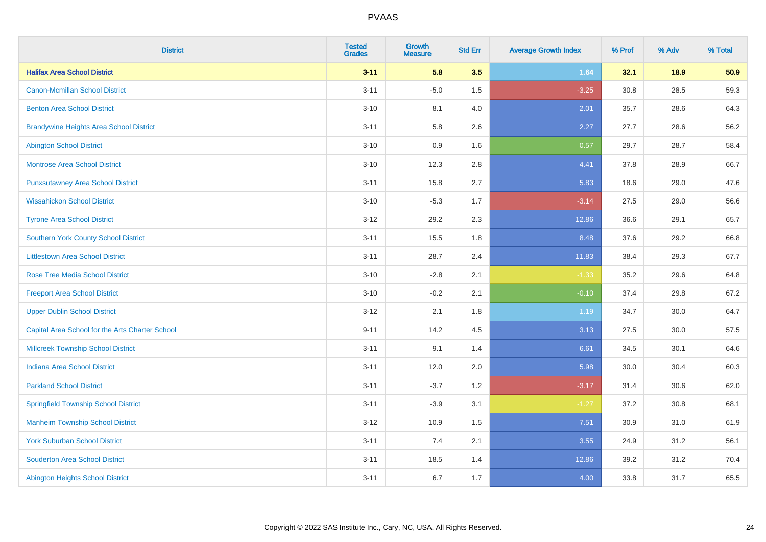| <b>District</b>                                 | <b>Tested</b><br><b>Grades</b> | <b>Growth</b><br><b>Measure</b> | <b>Std Err</b> | <b>Average Growth Index</b> | % Prof | % Adv | % Total |
|-------------------------------------------------|--------------------------------|---------------------------------|----------------|-----------------------------|--------|-------|---------|
| <b>Halifax Area School District</b>             | $3 - 11$                       | 5.8                             | 3.5            | 1.64                        | 32.1   | 18.9  | 50.9    |
| <b>Canon-Mcmillan School District</b>           | $3 - 11$                       | $-5.0$                          | 1.5            | $-3.25$                     | 30.8   | 28.5  | 59.3    |
| <b>Benton Area School District</b>              | $3 - 10$                       | 8.1                             | 4.0            | 2.01                        | 35.7   | 28.6  | 64.3    |
| <b>Brandywine Heights Area School District</b>  | $3 - 11$                       | 5.8                             | 2.6            | 2.27                        | 27.7   | 28.6  | 56.2    |
| <b>Abington School District</b>                 | $3 - 10$                       | 0.9                             | 1.6            | 0.57                        | 29.7   | 28.7  | 58.4    |
| <b>Montrose Area School District</b>            | $3 - 10$                       | 12.3                            | 2.8            | 4.41                        | 37.8   | 28.9  | 66.7    |
| <b>Punxsutawney Area School District</b>        | $3 - 11$                       | 15.8                            | 2.7            | 5.83                        | 18.6   | 29.0  | 47.6    |
| <b>Wissahickon School District</b>              | $3 - 10$                       | $-5.3$                          | 1.7            | $-3.14$                     | 27.5   | 29.0  | 56.6    |
| <b>Tyrone Area School District</b>              | $3 - 12$                       | 29.2                            | 2.3            | 12.86                       | 36.6   | 29.1  | 65.7    |
| <b>Southern York County School District</b>     | $3 - 11$                       | 15.5                            | 1.8            | 8.48                        | 37.6   | 29.2  | 66.8    |
| <b>Littlestown Area School District</b>         | $3 - 11$                       | 28.7                            | 2.4            | 11.83                       | 38.4   | 29.3  | 67.7    |
| <b>Rose Tree Media School District</b>          | $3 - 10$                       | $-2.8$                          | 2.1            | $-1.33$                     | 35.2   | 29.6  | 64.8    |
| <b>Freeport Area School District</b>            | $3 - 10$                       | $-0.2$                          | 2.1            | $-0.10$                     | 37.4   | 29.8  | 67.2    |
| <b>Upper Dublin School District</b>             | $3-12$                         | 2.1                             | 1.8            | 1.19                        | 34.7   | 30.0  | 64.7    |
| Capital Area School for the Arts Charter School | $9 - 11$                       | 14.2                            | 4.5            | 3.13                        | 27.5   | 30.0  | 57.5    |
| <b>Millcreek Township School District</b>       | $3 - 11$                       | 9.1                             | 1.4            | 6.61                        | 34.5   | 30.1  | 64.6    |
| <b>Indiana Area School District</b>             | $3 - 11$                       | 12.0                            | 2.0            | 5.98                        | 30.0   | 30.4  | 60.3    |
| <b>Parkland School District</b>                 | $3 - 11$                       | $-3.7$                          | 1.2            | $-3.17$                     | 31.4   | 30.6  | 62.0    |
| <b>Springfield Township School District</b>     | $3 - 11$                       | $-3.9$                          | 3.1            | $-1.27$                     | 37.2   | 30.8  | 68.1    |
| <b>Manheim Township School District</b>         | $3-12$                         | 10.9                            | 1.5            | 7.51                        | 30.9   | 31.0  | 61.9    |
| <b>York Suburban School District</b>            | $3 - 11$                       | 7.4                             | 2.1            | 3.55                        | 24.9   | 31.2  | 56.1    |
| <b>Souderton Area School District</b>           | $3 - 11$                       | 18.5                            | 1.4            | 12.86                       | 39.2   | 31.2  | 70.4    |
| <b>Abington Heights School District</b>         | $3 - 11$                       | 6.7                             | 1.7            | 4.00                        | 33.8   | 31.7  | 65.5    |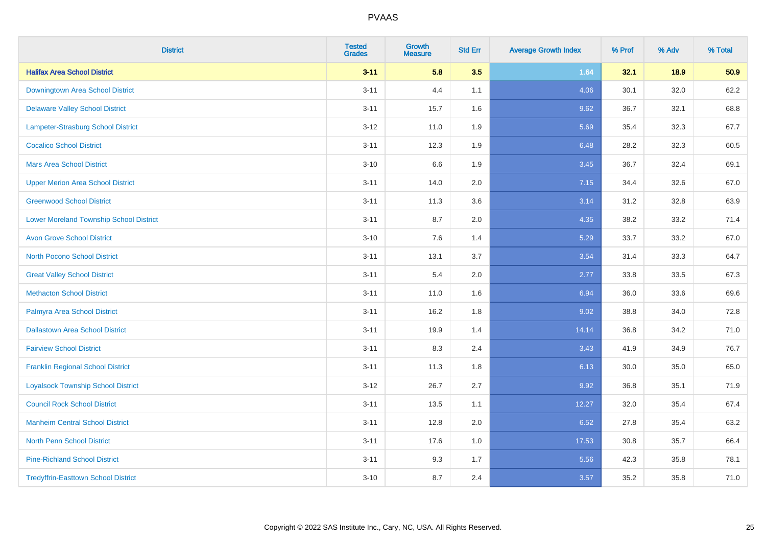| <b>District</b>                                | <b>Tested</b><br><b>Grades</b> | <b>Growth</b><br><b>Measure</b> | <b>Std Err</b> | <b>Average Growth Index</b> | % Prof | % Adv | % Total |
|------------------------------------------------|--------------------------------|---------------------------------|----------------|-----------------------------|--------|-------|---------|
| <b>Halifax Area School District</b>            | $3 - 11$                       | 5.8                             | 3.5            | 1.64                        | 32.1   | 18.9  | 50.9    |
| Downingtown Area School District               | $3 - 11$                       | 4.4                             | 1.1            | 4.06                        | 30.1   | 32.0  | 62.2    |
| <b>Delaware Valley School District</b>         | $3 - 11$                       | 15.7                            | 1.6            | 9.62                        | 36.7   | 32.1  | 68.8    |
| Lampeter-Strasburg School District             | $3 - 12$                       | 11.0                            | 1.9            | 5.69                        | 35.4   | 32.3  | 67.7    |
| <b>Cocalico School District</b>                | $3 - 11$                       | 12.3                            | 1.9            | 6.48                        | 28.2   | 32.3  | 60.5    |
| <b>Mars Area School District</b>               | $3 - 10$                       | 6.6                             | 1.9            | 3.45                        | 36.7   | 32.4  | 69.1    |
| <b>Upper Merion Area School District</b>       | $3 - 11$                       | 14.0                            | 2.0            | 7.15                        | 34.4   | 32.6  | 67.0    |
| <b>Greenwood School District</b>               | $3 - 11$                       | 11.3                            | 3.6            | 3.14                        | 31.2   | 32.8  | 63.9    |
| <b>Lower Moreland Township School District</b> | $3 - 11$                       | 8.7                             | 2.0            | 4.35                        | 38.2   | 33.2  | 71.4    |
| <b>Avon Grove School District</b>              | $3 - 10$                       | 7.6                             | 1.4            | 5.29                        | 33.7   | 33.2  | 67.0    |
| <b>North Pocono School District</b>            | $3 - 11$                       | 13.1                            | 3.7            | 3.54                        | 31.4   | 33.3  | 64.7    |
| <b>Great Valley School District</b>            | $3 - 11$                       | 5.4                             | 2.0            | 2.77                        | 33.8   | 33.5  | 67.3    |
| <b>Methacton School District</b>               | $3 - 11$                       | 11.0                            | 1.6            | 6.94                        | 36.0   | 33.6  | 69.6    |
| Palmyra Area School District                   | $3 - 11$                       | 16.2                            | 1.8            | 9.02                        | 38.8   | 34.0  | 72.8    |
| <b>Dallastown Area School District</b>         | $3 - 11$                       | 19.9                            | 1.4            | 14.14                       | 36.8   | 34.2  | 71.0    |
| <b>Fairview School District</b>                | $3 - 11$                       | 8.3                             | 2.4            | 3.43                        | 41.9   | 34.9  | 76.7    |
| <b>Franklin Regional School District</b>       | $3 - 11$                       | 11.3                            | 1.8            | 6.13                        | 30.0   | 35.0  | 65.0    |
| <b>Loyalsock Township School District</b>      | $3 - 12$                       | 26.7                            | 2.7            | 9.92                        | 36.8   | 35.1  | 71.9    |
| <b>Council Rock School District</b>            | $3 - 11$                       | 13.5                            | 1.1            | 12.27                       | 32.0   | 35.4  | 67.4    |
| <b>Manheim Central School District</b>         | $3 - 11$                       | 12.8                            | 2.0            | 6.52                        | 27.8   | 35.4  | 63.2    |
| <b>North Penn School District</b>              | $3 - 11$                       | 17.6                            | 1.0            | 17.53                       | 30.8   | 35.7  | 66.4    |
| <b>Pine-Richland School District</b>           | $3 - 11$                       | 9.3                             | 1.7            | 5.56                        | 42.3   | 35.8  | 78.1    |
| <b>Tredyffrin-Easttown School District</b>     | $3 - 10$                       | 8.7                             | 2.4            | 3.57                        | 35.2   | 35.8  | 71.0    |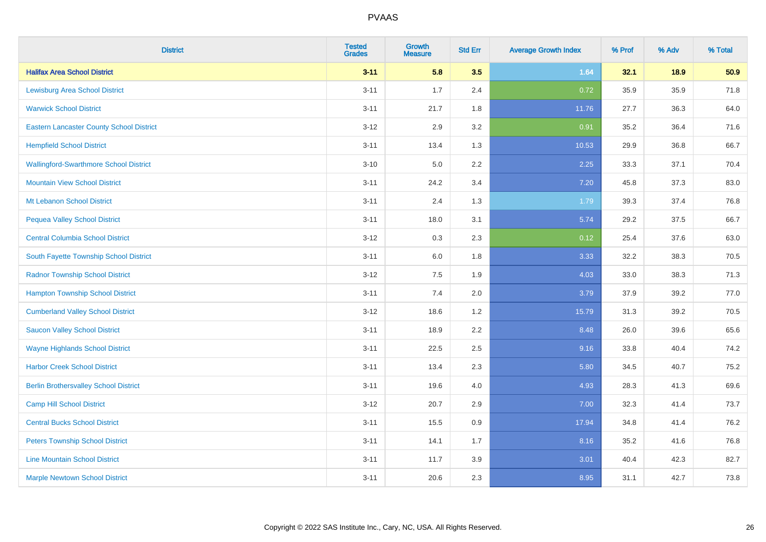| <b>District</b>                                 | <b>Tested</b><br><b>Grades</b> | Growth<br><b>Measure</b> | <b>Std Err</b> | <b>Average Growth Index</b> | % Prof | % Adv | % Total |
|-------------------------------------------------|--------------------------------|--------------------------|----------------|-----------------------------|--------|-------|---------|
| <b>Halifax Area School District</b>             | $3 - 11$                       | 5.8                      | 3.5            | 1.64                        | 32.1   | 18.9  | 50.9    |
| <b>Lewisburg Area School District</b>           | $3 - 11$                       | 1.7                      | 2.4            | 0.72                        | 35.9   | 35.9  | 71.8    |
| <b>Warwick School District</b>                  | $3 - 11$                       | 21.7                     | 1.8            | 11.76                       | 27.7   | 36.3  | 64.0    |
| <b>Eastern Lancaster County School District</b> | $3 - 12$                       | 2.9                      | $3.2\,$        | 0.91                        | 35.2   | 36.4  | 71.6    |
| <b>Hempfield School District</b>                | $3 - 11$                       | 13.4                     | 1.3            | 10.53                       | 29.9   | 36.8  | 66.7    |
| <b>Wallingford-Swarthmore School District</b>   | $3 - 10$                       | 5.0                      | 2.2            | 2.25                        | 33.3   | 37.1  | 70.4    |
| <b>Mountain View School District</b>            | $3 - 11$                       | 24.2                     | 3.4            | 7.20                        | 45.8   | 37.3  | 83.0    |
| Mt Lebanon School District                      | $3 - 11$                       | 2.4                      | 1.3            | 1.79                        | 39.3   | 37.4  | 76.8    |
| <b>Pequea Valley School District</b>            | $3 - 11$                       | 18.0                     | 3.1            | 5.74                        | 29.2   | 37.5  | 66.7    |
| <b>Central Columbia School District</b>         | $3 - 12$                       | 0.3                      | 2.3            | 0.12                        | 25.4   | 37.6  | 63.0    |
| South Fayette Township School District          | $3 - 11$                       | 6.0                      | 1.8            | 3.33                        | 32.2   | 38.3  | 70.5    |
| <b>Radnor Township School District</b>          | $3 - 12$                       | 7.5                      | 1.9            | 4.03                        | 33.0   | 38.3  | 71.3    |
| <b>Hampton Township School District</b>         | $3 - 11$                       | 7.4                      | 2.0            | 3.79                        | 37.9   | 39.2  | 77.0    |
| <b>Cumberland Valley School District</b>        | $3 - 12$                       | 18.6                     | 1.2            | 15.79                       | 31.3   | 39.2  | 70.5    |
| <b>Saucon Valley School District</b>            | $3 - 11$                       | 18.9                     | 2.2            | 8.48                        | 26.0   | 39.6  | 65.6    |
| <b>Wayne Highlands School District</b>          | $3 - 11$                       | 22.5                     | 2.5            | 9.16                        | 33.8   | 40.4  | 74.2    |
| <b>Harbor Creek School District</b>             | $3 - 11$                       | 13.4                     | 2.3            | 5.80                        | 34.5   | 40.7  | 75.2    |
| <b>Berlin Brothersvalley School District</b>    | $3 - 11$                       | 19.6                     | 4.0            | 4.93                        | 28.3   | 41.3  | 69.6    |
| <b>Camp Hill School District</b>                | $3 - 12$                       | 20.7                     | 2.9            | 7.00                        | 32.3   | 41.4  | 73.7    |
| <b>Central Bucks School District</b>            | $3 - 11$                       | 15.5                     | 0.9            | 17.94                       | 34.8   | 41.4  | 76.2    |
| <b>Peters Township School District</b>          | $3 - 11$                       | 14.1                     | 1.7            | 8.16                        | 35.2   | 41.6  | 76.8    |
| <b>Line Mountain School District</b>            | $3 - 11$                       | 11.7                     | 3.9            | 3.01                        | 40.4   | 42.3  | 82.7    |
| <b>Marple Newtown School District</b>           | $3 - 11$                       | 20.6                     | 2.3            | 8.95                        | 31.1   | 42.7  | 73.8    |